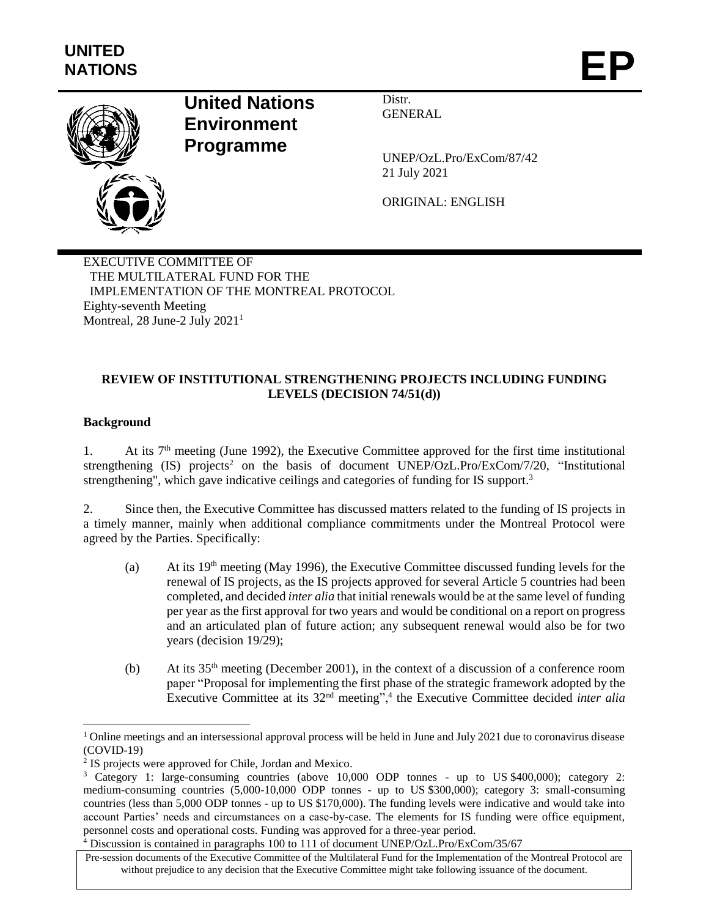

# **United Nations Environment Programme**

Distr. GENERAL

UNEP/OzL.Pro/ExCom/87/42 21 July 2021

ORIGINAL: ENGLISH

EXECUTIVE COMMITTEE OF THE MULTILATERAL FUND FOR THE IMPLEMENTATION OF THE MONTREAL PROTOCOL Eighty-seventh Meeting Montreal, 28 June-2 July 2021<sup>1</sup>

## **REVIEW OF INSTITUTIONAL STRENGTHENING PROJECTS INCLUDING FUNDING LEVELS (DECISION 74/51(d))**

## **Background**

l

1. At its  $7<sup>th</sup>$  meeting (June 1992), the Executive Committee approved for the first time institutional strengthening (IS) projects<sup>2</sup> on the basis of document UNEP/OzL.Pro/ExCom/7/20, "Institutional strengthening", which gave indicative ceilings and categories of funding for IS support.<sup>3</sup>

2. Since then, the Executive Committee has discussed matters related to the funding of IS projects in a timely manner, mainly when additional compliance commitments under the Montreal Protocol were agreed by the Parties. Specifically:

- (a) At its  $19<sup>th</sup>$  meeting (May 1996), the Executive Committee discussed funding levels for the renewal of IS projects, as the IS projects approved for several Article 5 countries had been completed, and decided *inter alia* that initial renewals would be at the same level of funding per year as the first approval for two years and would be conditional on a report on progress and an articulated plan of future action; any subsequent renewal would also be for two years (decision 19/29);
- (b) At its  $35<sup>th</sup>$  meeting (December 2001), in the context of a discussion of a conference room paper "Proposal for implementing the first phase of the strategic framework adopted by the Executive Committee at its 32<sup>nd</sup> meeting",<sup>4</sup> the Executive Committee decided *inter alia*

 $1$  Online meetings and an intersessional approval process will be held in June and July 2021 due to coronavirus disease (COVID-19)

<sup>&</sup>lt;sup>2</sup> IS projects were approved for Chile, Jordan and Mexico.

<sup>&</sup>lt;sup>3</sup> Category 1: large-consuming countries (above 10,000 ODP tonnes - up to US \$400,000); category 2: medium-consuming countries (5,000-10,000 ODP tonnes - up to US \$300,000); category 3: small-consuming countries (less than 5,000 ODP tonnes - up to US \$170,000). The funding levels were indicative and would take into account Parties' needs and circumstances on a case-by-case. The elements for IS funding were office equipment, personnel costs and operational costs. Funding was approved for a three-year period.

<sup>4</sup> Discussion is contained in paragraphs 100 to 111 of document UNEP/OzL.Pro/ExCom/35/67

Pre-session documents of the Executive Committee of the Multilateral Fund for the Implementation of the Montreal Protocol are without prejudice to any decision that the Executive Committee might take following issuance of the document.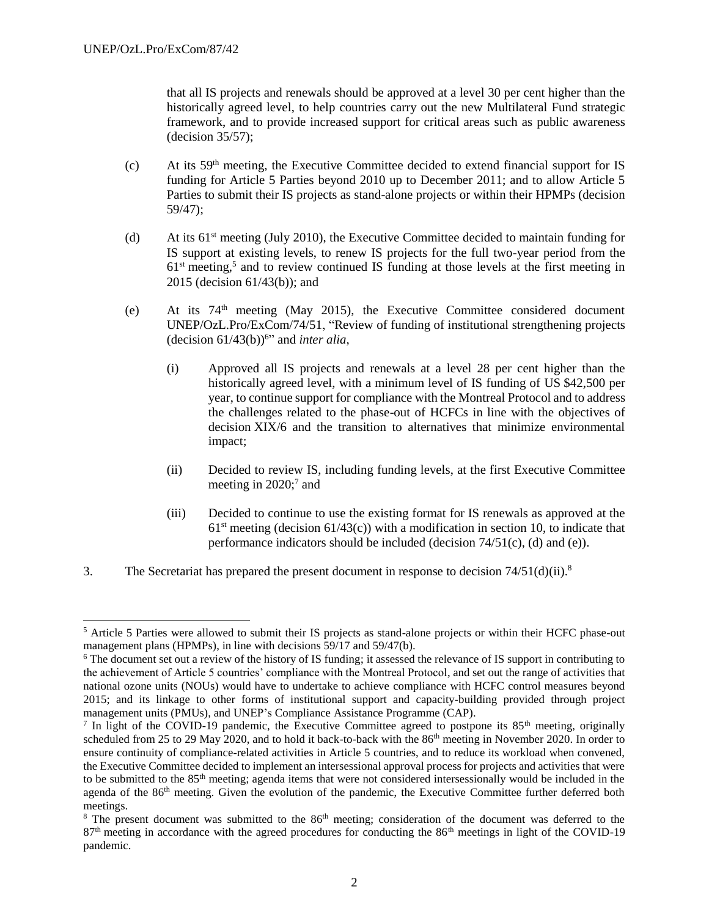l

that all IS projects and renewals should be approved at a level 30 per cent higher than the historically agreed level, to help countries carry out the new Multilateral Fund strategic framework, and to provide increased support for critical areas such as public awareness (decision 35/57);

- (c) At its 59th meeting, the Executive Committee decided to extend financial support for IS funding for Article 5 Parties beyond 2010 up to December 2011; and to allow Article 5 Parties to submit their IS projects as stand-alone projects or within their HPMPs (decision 59/47);
- (d) At its  $61<sup>st</sup>$  meeting (July 2010), the Executive Committee decided to maintain funding for IS support at existing levels, to renew IS projects for the full two-year period from the  $61<sup>st</sup>$  meeting,<sup>5</sup> and to review continued IS funding at those levels at the first meeting in 2015 (decision 61/43(b)); and
- (e) At its  $74<sup>th</sup>$  meeting (May 2015), the Executive Committee considered document UNEP/OzL.Pro/ExCom/74/51, "Review of funding of institutional strengthening projects (decision  $61/43(b)$ <sup>6</sup>" and *inter alia*,
	- (i) Approved all IS projects and renewals at a level 28 per cent higher than the historically agreed level, with a minimum level of IS funding of US \$42,500 per year, to continue support for compliance with the Montreal Protocol and to address the challenges related to the phase-out of HCFCs in line with the objectives of decision XIX/6 and the transition to alternatives that minimize environmental impact;
	- (ii) Decided to review IS, including funding levels, at the first Executive Committee meeting in 2020;<sup>7</sup> and
	- (iii) Decided to continue to use the existing format for IS renewals as approved at the  $61<sup>st</sup>$  meeting (decision  $61/43(c)$ ) with a modification in section 10, to indicate that performance indicators should be included (decision  $74/51(c)$ , (d) and (e)).
- 3. The Secretariat has prepared the present document in response to decision  $74/51(d)(ii)$ .<sup>8</sup>

<sup>5</sup> Article 5 Parties were allowed to submit their IS projects as stand-alone projects or within their HCFC phase-out management plans (HPMPs), in line with decisions 59/17 and 59/47(b).

<sup>6</sup> The document set out a review of the history of IS funding; it assessed the relevance of IS support in contributing to the achievement of Article 5 countries' compliance with the Montreal Protocol, and set out the range of activities that national ozone units (NOUs) would have to undertake to achieve compliance with HCFC control measures beyond 2015; and its linkage to other forms of institutional support and capacity-building provided through project management units (PMUs), and UNEP's Compliance Assistance Programme (CAP).

In light of the COVID-19 pandemic, the Executive Committee agreed to postpone its  $85<sup>th</sup>$  meeting, originally scheduled from 25 to 29 May 2020, and to hold it back-to-back with the 86<sup>th</sup> meeting in November 2020. In order to ensure continuity of compliance-related activities in Article 5 countries, and to reduce its workload when convened, the Executive Committee decided to implement an intersessional approval process for projects and activities that were to be submitted to the 85th meeting; agenda items that were not considered intersessionally would be included in the agenda of the 86<sup>th</sup> meeting. Given the evolution of the pandemic, the Executive Committee further deferred both meetings.

 $8$  The present document was submitted to the  $86<sup>th</sup>$  meeting; consideration of the document was deferred to the 87<sup>th</sup> meeting in accordance with the agreed procedures for conducting the 86<sup>th</sup> meetings in light of the COVID-19 pandemic.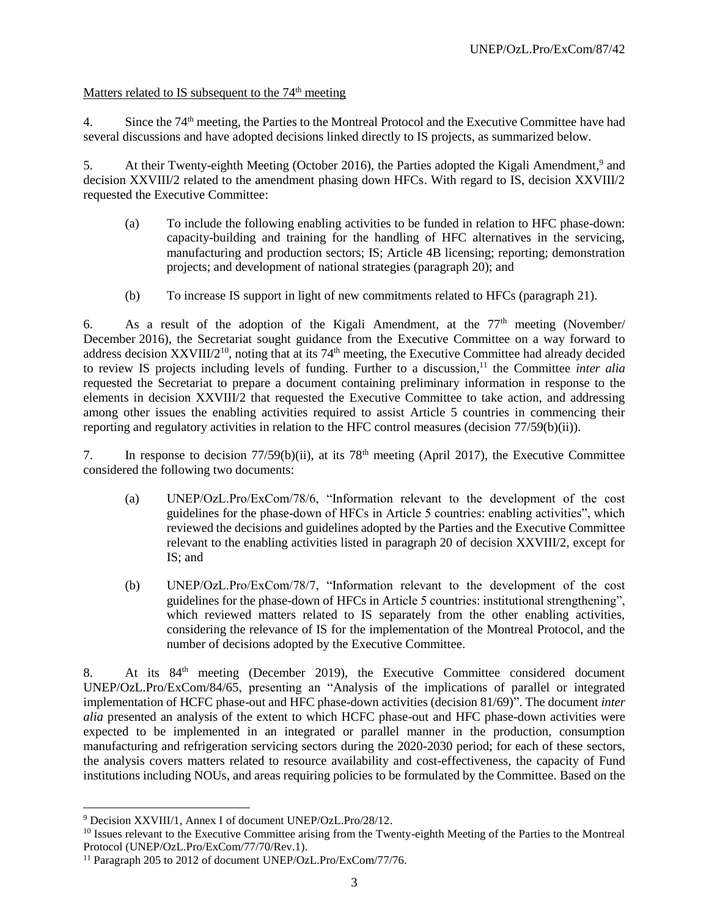## Matters related to IS subsequent to the  $74<sup>th</sup>$  meeting

4. Since the 74<sup>th</sup> meeting, the Parties to the Montreal Protocol and the Executive Committee have had several discussions and have adopted decisions linked directly to IS projects, as summarized below.

5. At their Twenty-eighth Meeting (October 2016), the Parties adopted the Kigali Amendment,<sup>9</sup> and decision XXVIII/2 related to the amendment phasing down HFCs. With regard to IS, decision XXVIII/2 requested the Executive Committee:

- (a) To include the following enabling activities to be funded in relation to HFC phase-down: capacity-building and training for the handling of HFC alternatives in the servicing, manufacturing and production sectors; IS; Article 4B licensing; reporting; demonstration projects; and development of national strategies (paragraph 20); and
- (b) To increase IS support in light of new commitments related to HFCs (paragraph 21).

6. As a result of the adoption of the Kigali Amendment, at the  $77<sup>th</sup>$  meeting (November/ December 2016), the Secretariat sought guidance from the Executive Committee on a way forward to address decision  $XXVIII/2^{10}$ , noting that at its  $74<sup>th</sup>$  meeting, the Executive Committee had already decided to review IS projects including levels of funding. Further to a discussion,<sup>11</sup> the Committee *inter alia* requested the Secretariat to prepare a document containing preliminary information in response to the elements in decision XXVIII/2 that requested the Executive Committee to take action, and addressing among other issues the enabling activities required to assist Article 5 countries in commencing their reporting and regulatory activities in relation to the HFC control measures (decision 77/59(b)(ii)).

7. In response to decision 77/59(b)(ii), at its 78th meeting (April 2017), the Executive Committee considered the following two documents:

- (a) UNEP/OzL.Pro/ExCom/78/6, "Information relevant to the development of the cost guidelines for the phase-down of HFCs in Article 5 countries: enabling activities", which reviewed the decisions and guidelines adopted by the Parties and the Executive Committee relevant to the enabling activities listed in paragraph 20 of decision XXVIII/2, except for IS; and
- (b) UNEP/OzL.Pro/ExCom/78/7, "Information relevant to the development of the cost guidelines for the phase-down of HFCs in Article 5 countries: institutional strengthening", which reviewed matters related to IS separately from the other enabling activities, considering the relevance of IS for the implementation of the Montreal Protocol, and the number of decisions adopted by the Executive Committee.

8. At its 84<sup>th</sup> meeting (December 2019), the Executive Committee considered document UNEP/OzL.Pro/ExCom/84/65, presenting an "Analysis of the implications of parallel or integrated implementation of HCFC phase-out and HFC phase-down activities (decision 81/69)". The document *inter alia* presented an analysis of the extent to which HCFC phase-out and HFC phase-down activities were expected to be implemented in an integrated or parallel manner in the production, consumption manufacturing and refrigeration servicing sectors during the 2020-2030 period; for each of these sectors, the analysis covers matters related to resource availability and cost-effectiveness, the capacity of Fund institutions including NOUs, and areas requiring policies to be formulated by the Committee. Based on the

l <sup>9</sup> Decision XXVIII/1, Annex I of document UNEP/OzL.Pro/28/12.

<sup>&</sup>lt;sup>10</sup> Issues relevant to the Executive Committee arising from the Twenty-eighth Meeting of the Parties to the Montreal Protocol (UNEP/OzL.Pro/ExCom/77/70/Rev.1).

<sup>&</sup>lt;sup>11</sup> Paragraph 205 to 2012 of document UNEP/OzL.Pro/ExCom/77/76.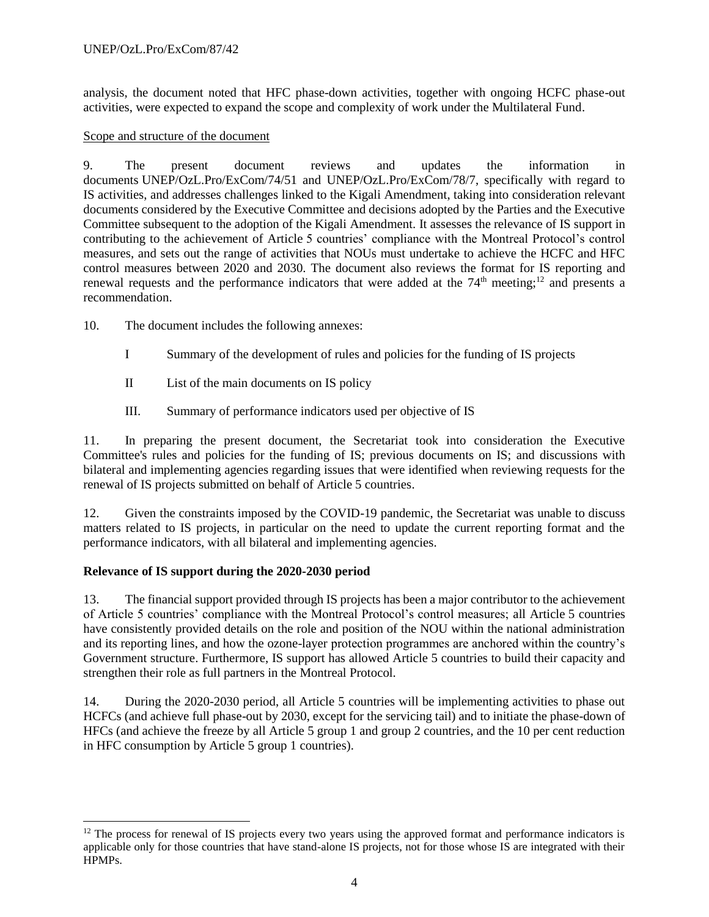#### UNEP/OzL.Pro/ExCom/87/42

analysis, the document noted that HFC phase-down activities, together with ongoing HCFC phase-out activities, were expected to expand the scope and complexity of work under the Multilateral Fund.

#### Scope and structure of the document

9. The present document reviews and updates the information in documents UNEP/OzL.Pro/ExCom/74/51 and UNEP/OzL.Pro/ExCom/78/7, specifically with regard to IS activities, and addresses challenges linked to the Kigali Amendment, taking into consideration relevant documents considered by the Executive Committee and decisions adopted by the Parties and the Executive Committee subsequent to the adoption of the Kigali Amendment. It assesses the relevance of IS support in contributing to the achievement of Article 5 countries' compliance with the Montreal Protocol's control measures, and sets out the range of activities that NOUs must undertake to achieve the HCFC and HFC control measures between 2020 and 2030. The document also reviews the format for IS reporting and renewal requests and the performance indicators that were added at the  $74<sup>th</sup>$  meeting;<sup>12</sup> and presents a recommendation.

10. The document includes the following annexes:

- I Summary of the development of rules and policies for the funding of IS projects
- II List of the main documents on IS policy
- III. Summary of performance indicators used per objective of IS

11. In preparing the present document, the Secretariat took into consideration the Executive Committee's rules and policies for the funding of IS; previous documents on IS; and discussions with bilateral and implementing agencies regarding issues that were identified when reviewing requests for the renewal of IS projects submitted on behalf of Article 5 countries.

12. Given the constraints imposed by the COVID-19 pandemic, the Secretariat was unable to discuss matters related to IS projects, in particular on the need to update the current reporting format and the performance indicators, with all bilateral and implementing agencies.

#### **Relevance of IS support during the 2020-2030 period**

l

13. The financial support provided through IS projects has been a major contributor to the achievement of Article 5 countries' compliance with the Montreal Protocol's control measures; all Article 5 countries have consistently provided details on the role and position of the NOU within the national administration and its reporting lines, and how the ozone-layer protection programmes are anchored within the country's Government structure. Furthermore, IS support has allowed Article 5 countries to build their capacity and strengthen their role as full partners in the Montreal Protocol.

14. During the 2020-2030 period, all Article 5 countries will be implementing activities to phase out HCFCs (and achieve full phase-out by 2030, except for the servicing tail) and to initiate the phase-down of HFCs (and achieve the freeze by all Article 5 group 1 and group 2 countries, and the 10 per cent reduction in HFC consumption by Article 5 group 1 countries).

 $12$  The process for renewal of IS projects every two years using the approved format and performance indicators is applicable only for those countries that have stand-alone IS projects, not for those whose IS are integrated with their HPMPs.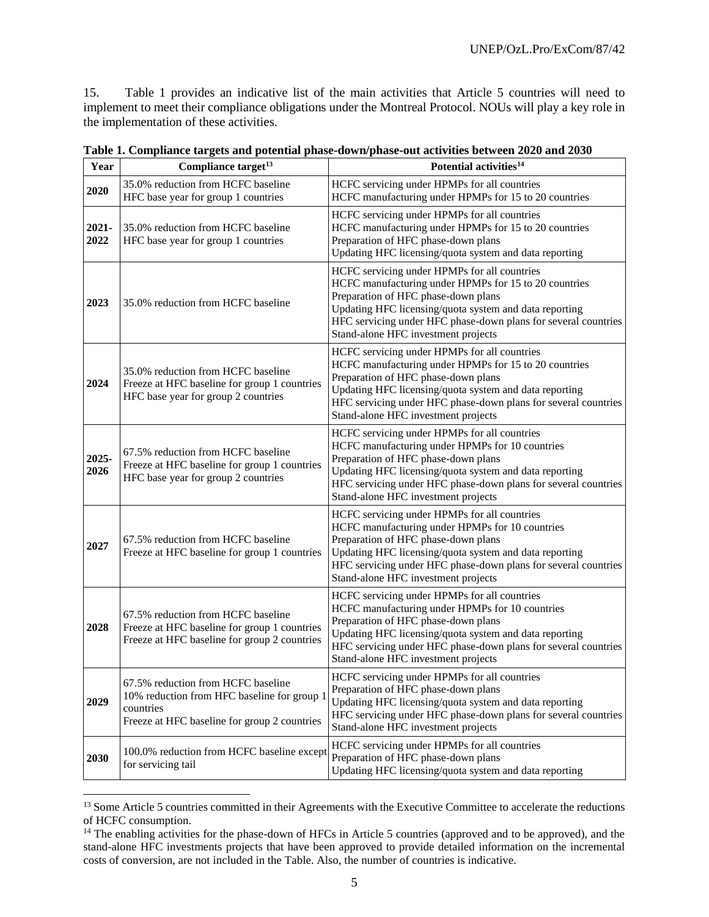15. Table 1 provides an indicative list of the main activities that Article 5 countries will need to implement to meet their compliance obligations under the Montreal Protocol. NOUs will play a key role in the implementation of these activities.

| Year             | Compliance target <sup>13</sup>                                                                                                                | Potential activities <sup>14</sup>                                                                                                                                                                                                                                                                              |  |  |
|------------------|------------------------------------------------------------------------------------------------------------------------------------------------|-----------------------------------------------------------------------------------------------------------------------------------------------------------------------------------------------------------------------------------------------------------------------------------------------------------------|--|--|
| 2020             | 35.0% reduction from HCFC baseline<br>HFC base year for group 1 countries                                                                      | HCFC servicing under HPMPs for all countries<br>HCFC manufacturing under HPMPs for 15 to 20 countries                                                                                                                                                                                                           |  |  |
| $2021 -$<br>2022 | 35.0% reduction from HCFC baseline<br>HFC base year for group 1 countries                                                                      | HCFC servicing under HPMPs for all countries<br>HCFC manufacturing under HPMPs for 15 to 20 countries<br>Preparation of HFC phase-down plans<br>Updating HFC licensing/quota system and data reporting                                                                                                          |  |  |
| 2023             | 35.0% reduction from HCFC baseline                                                                                                             | HCFC servicing under HPMPs for all countries<br>HCFC manufacturing under HPMPs for 15 to 20 countries<br>Preparation of HFC phase-down plans<br>Updating HFC licensing/quota system and data reporting<br>HFC servicing under HFC phase-down plans for several countries<br>Stand-alone HFC investment projects |  |  |
| 2024             | 35.0% reduction from HCFC baseline<br>Freeze at HFC baseline for group 1 countries<br>HFC base year for group 2 countries                      | HCFC servicing under HPMPs for all countries<br>HCFC manufacturing under HPMPs for 15 to 20 countries<br>Preparation of HFC phase-down plans<br>Updating HFC licensing/quota system and data reporting<br>HFC servicing under HFC phase-down plans for several countries<br>Stand-alone HFC investment projects |  |  |
| 2025-<br>2026    | 67.5% reduction from HCFC baseline<br>Freeze at HFC baseline for group 1 countries<br>HFC base year for group 2 countries                      | HCFC servicing under HPMPs for all countries<br>HCFC manufacturing under HPMPs for 10 countries<br>Preparation of HFC phase-down plans<br>Updating HFC licensing/quota system and data reporting<br>HFC servicing under HFC phase-down plans for several countries<br>Stand-alone HFC investment projects       |  |  |
| 2027             | 67.5% reduction from HCFC baseline<br>Freeze at HFC baseline for group 1 countries                                                             | HCFC servicing under HPMPs for all countries<br>HCFC manufacturing under HPMPs for 10 countries<br>Preparation of HFC phase-down plans<br>Updating HFC licensing/quota system and data reporting<br>HFC servicing under HFC phase-down plans for several countries<br>Stand-alone HFC investment projects       |  |  |
| 2028             | 67.5% reduction from HCFC baseline<br>Freeze at HFC baseline for group 1 countries<br>Freeze at HFC baseline for group 2 countries             | HCFC servicing under HPMPs for all countries<br>HCFC manufacturing under HPMPs for 10 countries<br>Preparation of HFC phase-down plans<br>Updating HFC licensing/quota system and data reporting<br>HFC servicing under HFC phase-down plans for several countries<br>Stand-alone HFC investment projects       |  |  |
| 2029             | 67.5% reduction from HCFC baseline<br>10% reduction from HFC baseline for group 1<br>countries<br>Freeze at HFC baseline for group 2 countries | HCFC servicing under HPMPs for all countries<br>Preparation of HFC phase-down plans<br>Updating HFC licensing/quota system and data reporting<br>HFC servicing under HFC phase-down plans for several countries<br>Stand-alone HFC investment projects                                                          |  |  |
| 2030             | 100.0% reduction from HCFC baseline except<br>for servicing tail                                                                               | HCFC servicing under HPMPs for all countries<br>Preparation of HFC phase-down plans<br>Updating HFC licensing/quota system and data reporting                                                                                                                                                                   |  |  |

| Table 1. Compliance targets and potential phase-down/phase-out activities between 2020 and 2030 |
|-------------------------------------------------------------------------------------------------|
|-------------------------------------------------------------------------------------------------|

<sup>&</sup>lt;sup>13</sup> Some Article 5 countries committed in their Agreements with the Executive Committee to accelerate the reductions of HCFC consumption.

<sup>&</sup>lt;sup>14</sup> The enabling activities for the phase-down of HFCs in Article 5 countries (approved and to be approved), and the stand-alone HFC investments projects that have been approved to provide detailed information on the incremental costs of conversion, are not included in the Table. Also, the number of countries is indicative.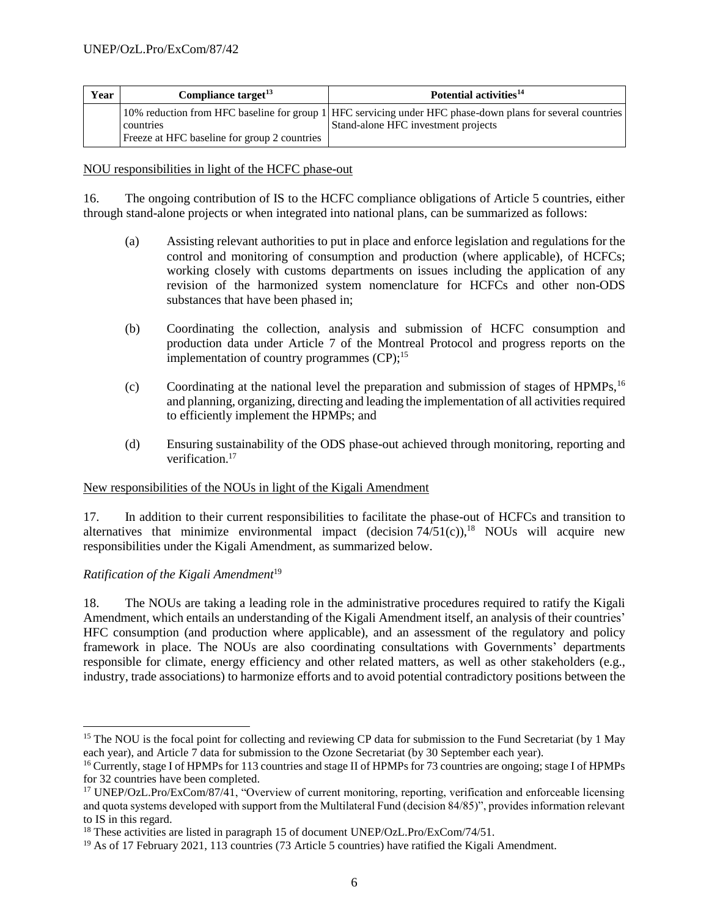| Year | Compliance target <sup>13</sup>                           | Potential activities <sup>14</sup>                                                                                                                |  |
|------|-----------------------------------------------------------|---------------------------------------------------------------------------------------------------------------------------------------------------|--|
|      | countries<br>Freeze at HFC baseline for group 2 countries | 10% reduction from HFC baseline for group 1 HFC servicing under HFC phase-down plans for several countries<br>Stand-alone HFC investment projects |  |

## NOU responsibilities in light of the HCFC phase-out

16. The ongoing contribution of IS to the HCFC compliance obligations of Article 5 countries, either through stand-alone projects or when integrated into national plans, can be summarized as follows:

- (a) Assisting relevant authorities to put in place and enforce legislation and regulations for the control and monitoring of consumption and production (where applicable), of HCFCs; working closely with customs departments on issues including the application of any revision of the harmonized system nomenclature for HCFCs and other non-ODS substances that have been phased in;
- (b) Coordinating the collection, analysis and submission of HCFC consumption and production data under Article 7 of the Montreal Protocol and progress reports on the implementation of country programmes (CP);<sup>15</sup>
- (c) Coordinating at the national level the preparation and submission of stages of  $HPMPs$ ,<sup>16</sup> and planning, organizing, directing and leading the implementation of all activities required to efficiently implement the HPMPs; and
- (d) Ensuring sustainability of the ODS phase-out achieved through monitoring, reporting and verification.<sup>17</sup>

#### New responsibilities of the NOUs in light of the Kigali Amendment

17. In addition to their current responsibilities to facilitate the phase-out of HCFCs and transition to alternatives that minimize environmental impact (decision  $74/51(c)$ ),<sup>18</sup> NOUs will acquire new responsibilities under the Kigali Amendment, as summarized below.

## *Ratification of the Kigali Amendment*<sup>19</sup>

 $\overline{a}$ 

18. The NOUs are taking a leading role in the administrative procedures required to ratify the Kigali Amendment, which entails an understanding of the Kigali Amendment itself, an analysis of their countries' HFC consumption (and production where applicable), and an assessment of the regulatory and policy framework in place. The NOUs are also coordinating consultations with Governments' departments responsible for climate, energy efficiency and other related matters, as well as other stakeholders (e.g., industry, trade associations) to harmonize efforts and to avoid potential contradictory positions between the

<sup>&</sup>lt;sup>15</sup> The NOU is the focal point for collecting and reviewing CP data for submission to the Fund Secretariat (by 1 May each year), and Article 7 data for submission to the Ozone Secretariat (by 30 September each year).

<sup>&</sup>lt;sup>16</sup> Currently, stage I of HPMPs for 113 countries and stage II of HPMPs for 73 countries are ongoing; stage I of HPMPs for 32 countries have been completed.

<sup>17</sup> UNEP/OzL.Pro/ExCom/87/41, "Overview of current monitoring, reporting, verification and enforceable licensing and quota systems developed with support from the Multilateral Fund (decision 84/85)", provides information relevant to IS in this regard.

<sup>&</sup>lt;sup>18</sup> These activities are listed in paragraph 15 of document UNEP/OzL.Pro/ExCom/74/51.

<sup>&</sup>lt;sup>19</sup> As of 17 February 2021, 113 countries (73 Article 5 countries) have ratified the Kigali Amendment.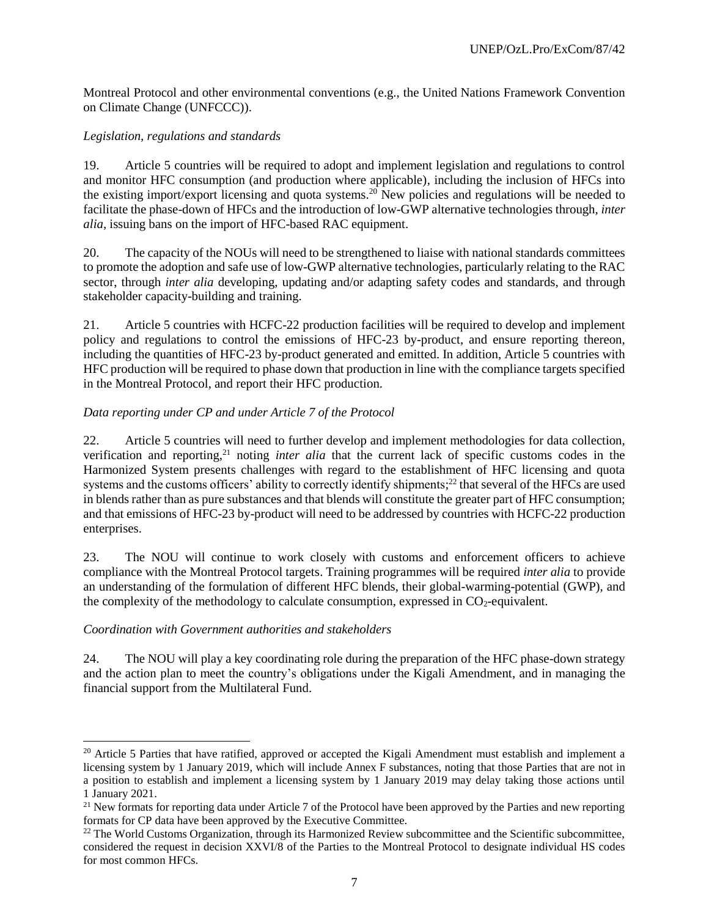Montreal Protocol and other environmental conventions (e.g., the United Nations Framework Convention on Climate Change (UNFCCC)).

## *Legislation, regulations and standards*

19. Article 5 countries will be required to adopt and implement legislation and regulations to control and monitor HFC consumption (and production where applicable), including the inclusion of HFCs into the existing import/export licensing and quota systems.<sup>20</sup> New policies and regulations will be needed to facilitate the phase-down of HFCs and the introduction of low-GWP alternative technologies through, *inter alia*, issuing bans on the import of HFC-based RAC equipment.

20. The capacity of the NOUs will need to be strengthened to liaise with national standards committees to promote the adoption and safe use of low-GWP alternative technologies, particularly relating to the RAC sector, through *inter alia* developing, updating and/or adapting safety codes and standards, and through stakeholder capacity-building and training.

21. Article 5 countries with HCFC-22 production facilities will be required to develop and implement policy and regulations to control the emissions of HFC-23 by-product, and ensure reporting thereon, including the quantities of HFC-23 by-product generated and emitted. In addition, Article 5 countries with HFC production will be required to phase down that production in line with the compliance targets specified in the Montreal Protocol, and report their HFC production.

## *Data reporting under CP and under Article 7 of the Protocol*

22. Article 5 countries will need to further develop and implement methodologies for data collection, verification and reporting, <sup>21</sup> noting *inter alia* that the current lack of specific customs codes in the Harmonized System presents challenges with regard to the establishment of HFC licensing and quota systems and the customs officers' ability to correctly identify shipments;<sup>22</sup> that several of the HFCs are used in blends rather than as pure substances and that blends will constitute the greater part of HFC consumption; and that emissions of HFC-23 by-product will need to be addressed by countries with HCFC-22 production enterprises.

23. The NOU will continue to work closely with customs and enforcement officers to achieve compliance with the Montreal Protocol targets. Training programmes will be required *inter alia* to provide an understanding of the formulation of different HFC blends, their global-warming-potential (GWP), and the complexity of the methodology to calculate consumption, expressed in  $CO<sub>2</sub>$ -equivalent.

## *Coordination with Government authorities and stakeholders*

l

24. The NOU will play a key coordinating role during the preparation of the HFC phase-down strategy and the action plan to meet the country's obligations under the Kigali Amendment, and in managing the financial support from the Multilateral Fund.

<sup>&</sup>lt;sup>20</sup> Article 5 Parties that have ratified, approved or accepted the Kigali Amendment must establish and implement a licensing system by 1 January 2019, which will include Annex F substances, noting that those Parties that are not in a position to establish and implement a licensing system by 1 January 2019 may delay taking those actions until 1 January 2021.

 $^{21}$  New formats for reporting data under Article 7 of the Protocol have been approved by the Parties and new reporting formats for CP data have been approved by the Executive Committee.

<sup>&</sup>lt;sup>22</sup> The World Customs Organization, through its Harmonized Review subcommittee and the Scientific subcommittee, considered the request in decision XXVI/8 of the Parties to the Montreal Protocol to designate individual HS codes for most common HFCs.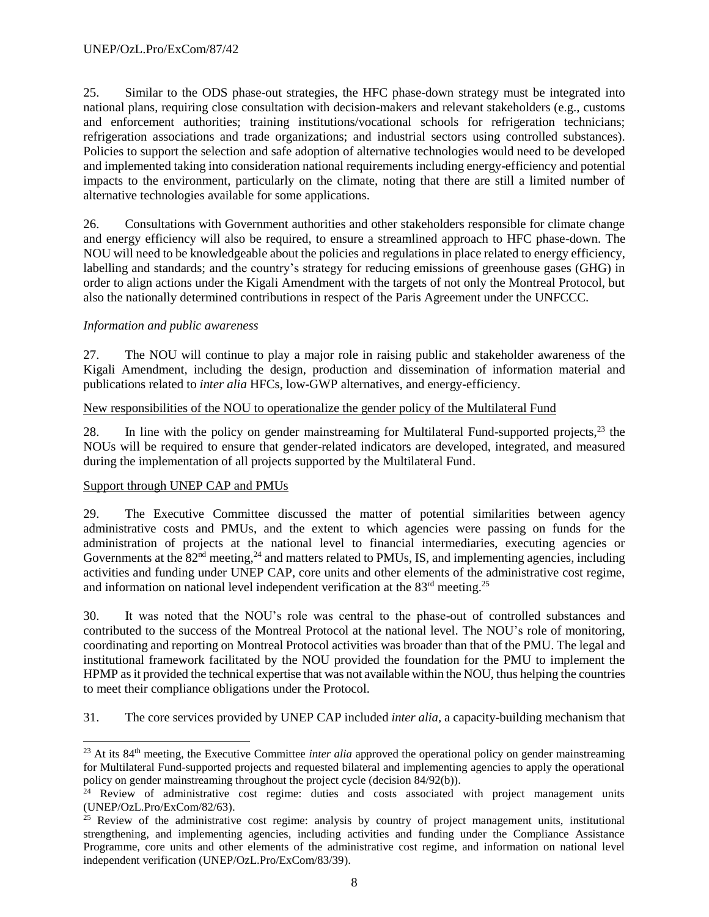25. Similar to the ODS phase-out strategies, the HFC phase-down strategy must be integrated into national plans, requiring close consultation with decision-makers and relevant stakeholders (e.g., customs and enforcement authorities; training institutions/vocational schools for refrigeration technicians; refrigeration associations and trade organizations; and industrial sectors using controlled substances). Policies to support the selection and safe adoption of alternative technologies would need to be developed and implemented taking into consideration national requirements including energy-efficiency and potential impacts to the environment, particularly on the climate, noting that there are still a limited number of alternative technologies available for some applications.

26. Consultations with Government authorities and other stakeholders responsible for climate change and energy efficiency will also be required, to ensure a streamlined approach to HFC phase-down. The NOU will need to be knowledgeable about the policies and regulations in place related to energy efficiency, labelling and standards; and the country's strategy for reducing emissions of greenhouse gases (GHG) in order to align actions under the Kigali Amendment with the targets of not only the Montreal Protocol, but also the nationally determined contributions in respect of the Paris Agreement under the UNFCCC.

#### *Information and public awareness*

27. The NOU will continue to play a major role in raising public and stakeholder awareness of the Kigali Amendment, including the design, production and dissemination of information material and publications related to *inter alia* HFCs, low-GWP alternatives, and energy-efficiency.

## New responsibilities of the NOU to operationalize the gender policy of the Multilateral Fund

28. In line with the policy on gender mainstreaming for Multilateral Fund-supported projects,<sup>23</sup> the NOUs will be required to ensure that gender-related indicators are developed, integrated, and measured during the implementation of all projects supported by the Multilateral Fund.

#### Support through UNEP CAP and PMUs

l

29. The Executive Committee discussed the matter of potential similarities between agency administrative costs and PMUs, and the extent to which agencies were passing on funds for the administration of projects at the national level to financial intermediaries, executing agencies or Governments at the  $82<sup>nd</sup>$  meeting,<sup>24</sup> and matters related to PMUs, IS, and implementing agencies, including activities and funding under UNEP CAP, core units and other elements of the administrative cost regime, and information on national level independent verification at the  $83<sup>rd</sup>$  meeting.<sup>25</sup>

30. It was noted that the NOU's role was central to the phase-out of controlled substances and contributed to the success of the Montreal Protocol at the national level. The NOU's role of monitoring, coordinating and reporting on Montreal Protocol activities was broader than that of the PMU. The legal and institutional framework facilitated by the NOU provided the foundation for the PMU to implement the HPMP as it provided the technical expertise that was not available within the NOU, thus helping the countries to meet their compliance obligations under the Protocol.

31. The core services provided by UNEP CAP included *inter alia,* a capacity-building mechanism that

<sup>23</sup> At its 84th meeting, the Executive Committee *inter alia* approved the operational policy on gender mainstreaming for Multilateral Fund-supported projects and requested bilateral and implementing agencies to apply the operational policy on gender mainstreaming throughout the project cycle (decision 84/92(b)).

<sup>&</sup>lt;sup>24</sup> Review of administrative cost regime: duties and costs associated with project management units (UNEP/OzL.Pro/ExCom/82/63).

<sup>&</sup>lt;sup>25</sup> Review of the administrative cost regime: analysis by country of project management units, institutional strengthening, and implementing agencies, including activities and funding under the Compliance Assistance Programme, core units and other elements of the administrative cost regime, and information on national level independent verification (UNEP/OzL.Pro/ExCom/83/39).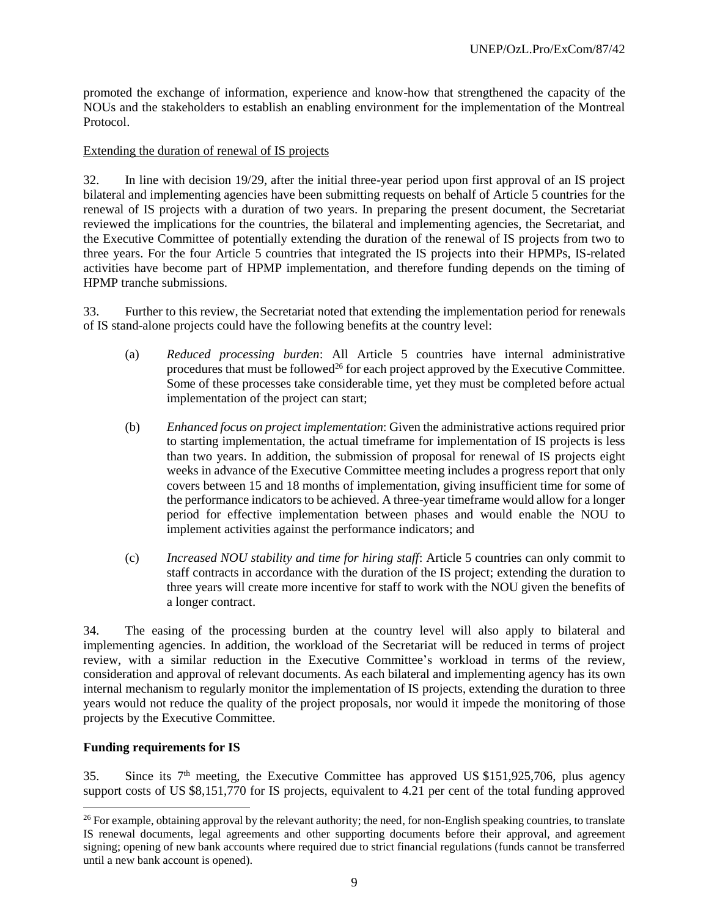promoted the exchange of information, experience and know-how that strengthened the capacity of the NOUs and the stakeholders to establish an enabling environment for the implementation of the Montreal Protocol.

#### Extending the duration of renewal of IS projects

32. In line with decision 19/29, after the initial three-year period upon first approval of an IS project bilateral and implementing agencies have been submitting requests on behalf of Article 5 countries for the renewal of IS projects with a duration of two years. In preparing the present document, the Secretariat reviewed the implications for the countries, the bilateral and implementing agencies, the Secretariat, and the Executive Committee of potentially extending the duration of the renewal of IS projects from two to three years. For the four Article 5 countries that integrated the IS projects into their HPMPs, IS-related activities have become part of HPMP implementation, and therefore funding depends on the timing of HPMP tranche submissions.

33. Further to this review, the Secretariat noted that extending the implementation period for renewals of IS stand-alone projects could have the following benefits at the country level:

- (a) *Reduced processing burden*: All Article 5 countries have internal administrative procedures that must be followed<sup>26</sup> for each project approved by the Executive Committee. Some of these processes take considerable time, yet they must be completed before actual implementation of the project can start;
- (b) *Enhanced focus on project implementation*: Given the administrative actions required prior to starting implementation, the actual timeframe for implementation of IS projects is less than two years. In addition, the submission of proposal for renewal of IS projects eight weeks in advance of the Executive Committee meeting includes a progress report that only covers between 15 and 18 months of implementation, giving insufficient time for some of the performance indicators to be achieved. A three-year timeframe would allow for a longer period for effective implementation between phases and would enable the NOU to implement activities against the performance indicators; and
- (c) *Increased NOU stability and time for hiring staff*: Article 5 countries can only commit to staff contracts in accordance with the duration of the IS project; extending the duration to three years will create more incentive for staff to work with the NOU given the benefits of a longer contract.

34. The easing of the processing burden at the country level will also apply to bilateral and implementing agencies. In addition, the workload of the Secretariat will be reduced in terms of project review, with a similar reduction in the Executive Committee's workload in terms of the review, consideration and approval of relevant documents. As each bilateral and implementing agency has its own internal mechanism to regularly monitor the implementation of IS projects, extending the duration to three years would not reduce the quality of the project proposals, nor would it impede the monitoring of those projects by the Executive Committee.

#### **Funding requirements for IS**

l

35. Since its  $7<sup>th</sup>$  meeting, the Executive Committee has approved US \$151,925,706, plus agency support costs of US \$8,151,770 for IS projects, equivalent to 4.21 per cent of the total funding approved

 $26$  For example, obtaining approval by the relevant authority; the need, for non-English speaking countries, to translate IS renewal documents, legal agreements and other supporting documents before their approval, and agreement signing; opening of new bank accounts where required due to strict financial regulations (funds cannot be transferred until a new bank account is opened).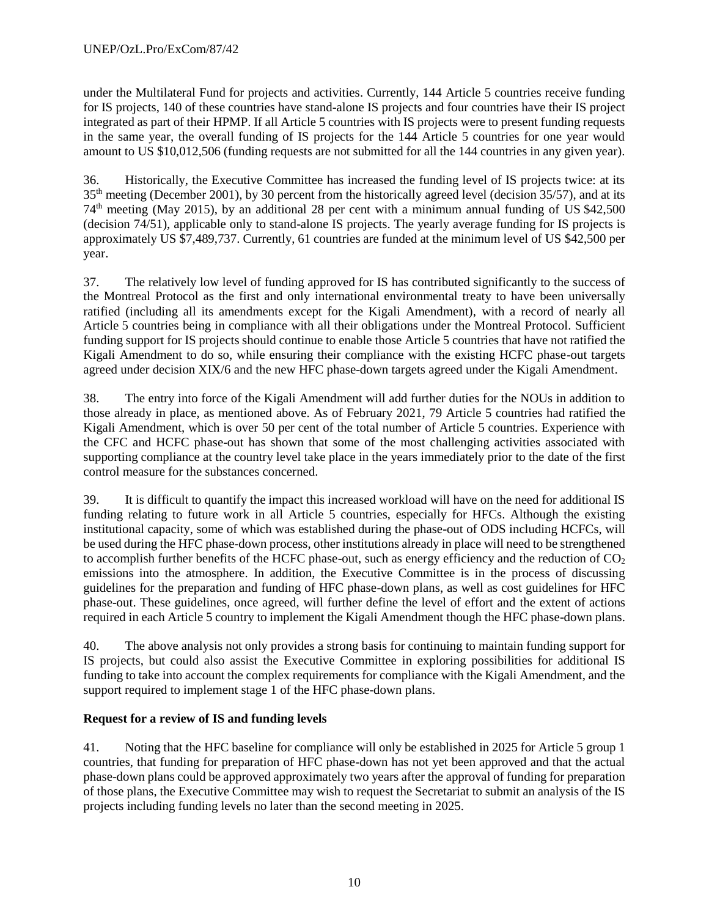under the Multilateral Fund for projects and activities. Currently, 144 Article 5 countries receive funding for IS projects, 140 of these countries have stand-alone IS projects and four countries have their IS project integrated as part of their HPMP. If all Article 5 countries with IS projects were to present funding requests in the same year, the overall funding of IS projects for the 144 Article 5 countries for one year would amount to US \$10,012,506 (funding requests are not submitted for all the 144 countries in any given year).

36. Historically, the Executive Committee has increased the funding level of IS projects twice: at its 35th meeting (December 2001), by 30 percent from the historically agreed level (decision 35/57), and at its 74th meeting (May 2015), by an additional 28 per cent with a minimum annual funding of US \$42,500 (decision 74/51), applicable only to stand-alone IS projects. The yearly average funding for IS projects is approximately US \$7,489,737. Currently, 61 countries are funded at the minimum level of US \$42,500 per year.

37. The relatively low level of funding approved for IS has contributed significantly to the success of the Montreal Protocol as the first and only international environmental treaty to have been universally ratified (including all its amendments except for the Kigali Amendment), with a record of nearly all Article 5 countries being in compliance with all their obligations under the Montreal Protocol. Sufficient funding support for IS projects should continue to enable those Article 5 countries that have not ratified the Kigali Amendment to do so, while ensuring their compliance with the existing HCFC phase-out targets agreed under decision XIX/6 and the new HFC phase-down targets agreed under the Kigali Amendment.

38. The entry into force of the Kigali Amendment will add further duties for the NOUs in addition to those already in place, as mentioned above. As of February 2021, 79 Article 5 countries had ratified the Kigali Amendment, which is over 50 per cent of the total number of Article 5 countries. Experience with the CFC and HCFC phase-out has shown that some of the most challenging activities associated with supporting compliance at the country level take place in the years immediately prior to the date of the first control measure for the substances concerned.

39. It is difficult to quantify the impact this increased workload will have on the need for additional IS funding relating to future work in all Article 5 countries, especially for HFCs. Although the existing institutional capacity, some of which was established during the phase-out of ODS including HCFCs, will be used during the HFC phase-down process, other institutions already in place will need to be strengthened to accomplish further benefits of the HCFC phase-out, such as energy efficiency and the reduction of  $CO<sub>2</sub>$ emissions into the atmosphere. In addition, the Executive Committee is in the process of discussing guidelines for the preparation and funding of HFC phase-down plans, as well as cost guidelines for HFC phase-out. These guidelines, once agreed, will further define the level of effort and the extent of actions required in each Article 5 country to implement the Kigali Amendment though the HFC phase-down plans.

40. The above analysis not only provides a strong basis for continuing to maintain funding support for IS projects, but could also assist the Executive Committee in exploring possibilities for additional IS funding to take into account the complex requirements for compliance with the Kigali Amendment, and the support required to implement stage 1 of the HFC phase-down plans.

## **Request for a review of IS and funding levels**

41. Noting that the HFC baseline for compliance will only be established in 2025 for Article 5 group 1 countries, that funding for preparation of HFC phase-down has not yet been approved and that the actual phase-down plans could be approved approximately two years after the approval of funding for preparation of those plans, the Executive Committee may wish to request the Secretariat to submit an analysis of the IS projects including funding levels no later than the second meeting in 2025.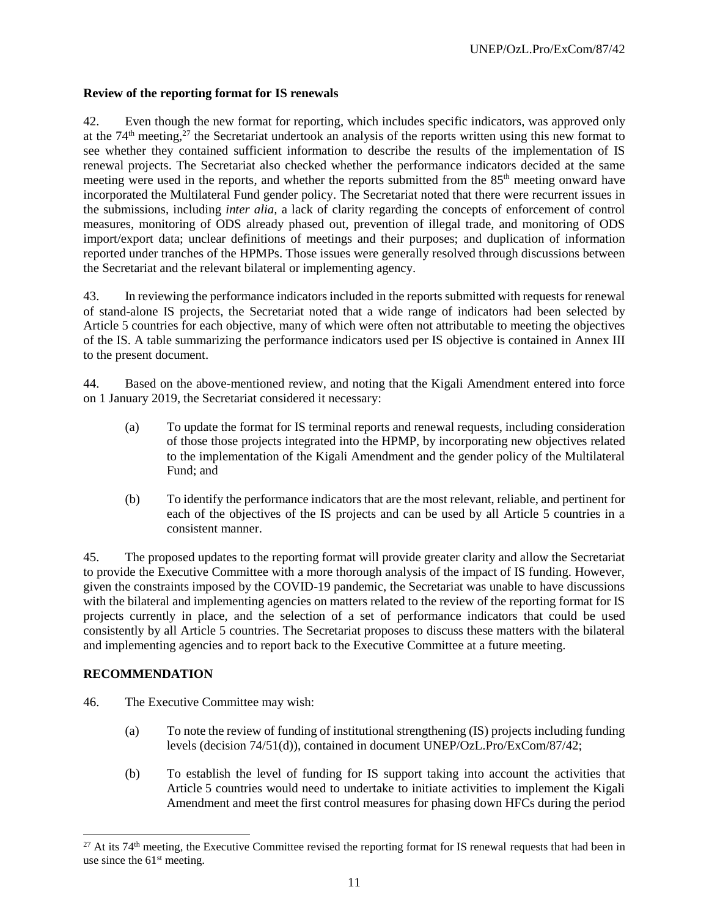## **Review of the reporting format for IS renewals**

42. Even though the new format for reporting, which includes specific indicators, was approved only at the  $74<sup>th</sup>$  meeting,<sup>27</sup> the Secretariat undertook an analysis of the reports written using this new format to see whether they contained sufficient information to describe the results of the implementation of IS renewal projects. The Secretariat also checked whether the performance indicators decided at the same meeting were used in the reports, and whether the reports submitted from the 85<sup>th</sup> meeting onward have incorporated the Multilateral Fund gender policy. The Secretariat noted that there were recurrent issues in the submissions, including *inter alia,* a lack of clarity regarding the concepts of enforcement of control measures, monitoring of ODS already phased out, prevention of illegal trade, and monitoring of ODS import/export data; unclear definitions of meetings and their purposes; and duplication of information reported under tranches of the HPMPs. Those issues were generally resolved through discussions between the Secretariat and the relevant bilateral or implementing agency.

43. In reviewing the performance indicators included in the reports submitted with requests for renewal of stand-alone IS projects, the Secretariat noted that a wide range of indicators had been selected by Article 5 countries for each objective, many of which were often not attributable to meeting the objectives of the IS. A table summarizing the performance indicators used per IS objective is contained in Annex III to the present document.

44. Based on the above-mentioned review, and noting that the Kigali Amendment entered into force on 1 January 2019, the Secretariat considered it necessary:

- (a) To update the format for IS terminal reports and renewal requests, including consideration of those those projects integrated into the HPMP, by incorporating new objectives related to the implementation of the Kigali Amendment and the gender policy of the Multilateral Fund; and
- (b) To identify the performance indicators that are the most relevant, reliable, and pertinent for each of the objectives of the IS projects and can be used by all Article 5 countries in a consistent manner.

45. The proposed updates to the reporting format will provide greater clarity and allow the Secretariat to provide the Executive Committee with a more thorough analysis of the impact of IS funding. However, given the constraints imposed by the COVID-19 pandemic, the Secretariat was unable to have discussions with the bilateral and implementing agencies on matters related to the review of the reporting format for IS projects currently in place, and the selection of a set of performance indicators that could be used consistently by all Article 5 countries. The Secretariat proposes to discuss these matters with the bilateral and implementing agencies and to report back to the Executive Committee at a future meeting.

#### **RECOMMENDATION**

- 46. The Executive Committee may wish:
	- (a) To note the review of funding of institutional strengthening (IS) projects including funding levels (decision 74/51(d)), contained in document UNEP/OzL.Pro/ExCom/87/42;
	- (b) To establish the level of funding for IS support taking into account the activities that Article 5 countries would need to undertake to initiate activities to implement the Kigali Amendment and meet the first control measures for phasing down HFCs during the period

<sup>&</sup>lt;sup>27</sup> At its 74<sup>th</sup> meeting, the Executive Committee revised the reporting format for IS renewal requests that had been in use since the 61<sup>st</sup> meeting.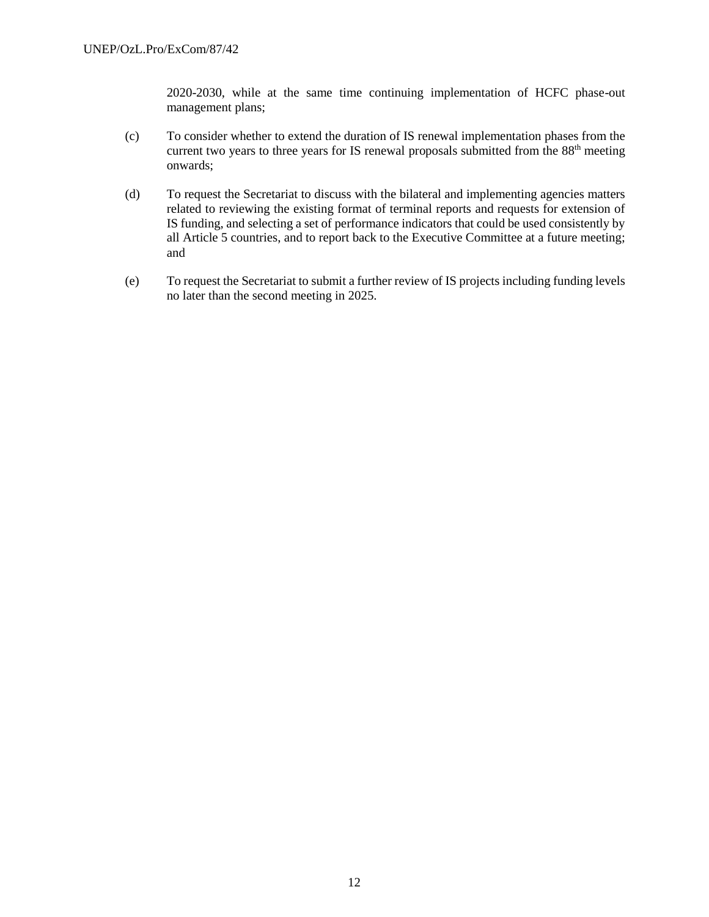2020-2030, while at the same time continuing implementation of HCFC phase-out management plans;

- (c) To consider whether to extend the duration of IS renewal implementation phases from the current two years to three years for IS renewal proposals submitted from the  $88<sup>th</sup>$  meeting onwards;
- (d) To request the Secretariat to discuss with the bilateral and implementing agencies matters related to reviewing the existing format of terminal reports and requests for extension of IS funding, and selecting a set of performance indicators that could be used consistently by all Article 5 countries, and to report back to the Executive Committee at a future meeting; and
- (e) To request the Secretariat to submit a further review of IS projects including funding levels no later than the second meeting in 2025.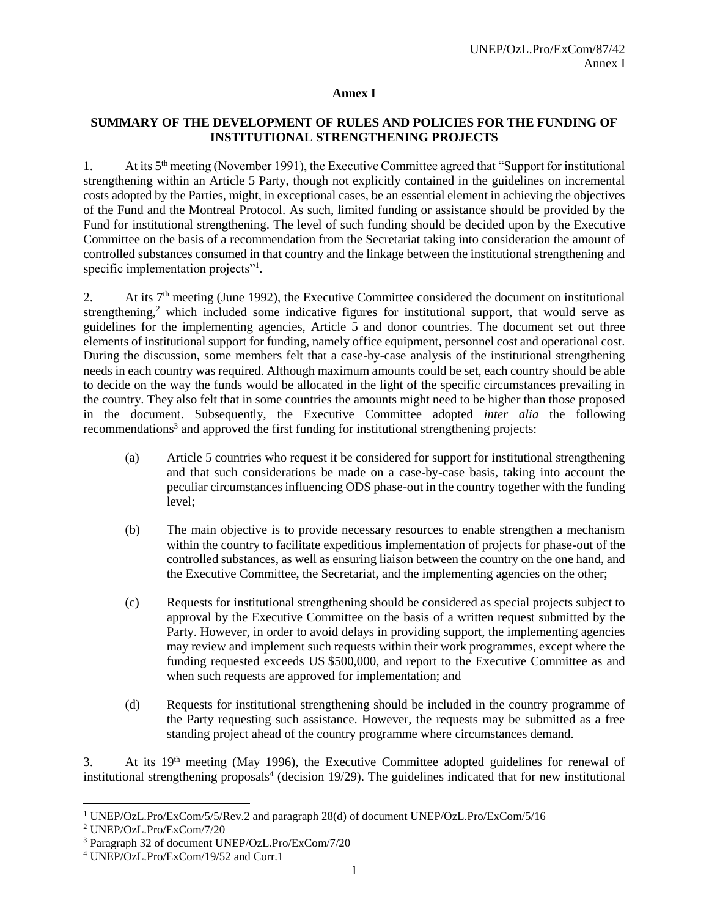#### **Annex I**

## **SUMMARY OF THE DEVELOPMENT OF RULES AND POLICIES FOR THE FUNDING OF INSTITUTIONAL STRENGTHENING PROJECTS**

1. At its 5th meeting (November 1991), the Executive Committee agreed that "Support for institutional strengthening within an Article 5 Party, though not explicitly contained in the guidelines on incremental costs adopted by the Parties, might, in exceptional cases, be an essential element in achieving the objectives of the Fund and the Montreal Protocol. As such, limited funding or assistance should be provided by the Fund for institutional strengthening. The level of such funding should be decided upon by the Executive Committee on the basis of a recommendation from the Secretariat taking into consideration the amount of controlled substances consumed in that country and the linkage between the institutional strengthening and specific implementation projects"<sup>1</sup>.

2. At its  $7<sup>th</sup>$  meeting (June 1992), the Executive Committee considered the document on institutional strengthening,<sup>2</sup> which included some indicative figures for institutional support, that would serve as guidelines for the implementing agencies, Article 5 and donor countries. The document set out three elements of institutional support for funding, namely office equipment, personnel cost and operational cost. During the discussion, some members felt that a case-by-case analysis of the institutional strengthening needs in each country was required. Although maximum amounts could be set, each country should be able to decide on the way the funds would be allocated in the light of the specific circumstances prevailing in the country. They also felt that in some countries the amounts might need to be higher than those proposed in the document. Subsequently, the Executive Committee adopted *inter alia* the following recommendations<sup>3</sup> and approved the first funding for institutional strengthening projects:

- (a) Article 5 countries who request it be considered for support for institutional strengthening and that such considerations be made on a case-by-case basis, taking into account the peculiar circumstances influencing ODS phase-out in the country together with the funding level;
- (b) The main objective is to provide necessary resources to enable strengthen a mechanism within the country to facilitate expeditious implementation of projects for phase-out of the controlled substances, as well as ensuring liaison between the country on the one hand, and the Executive Committee, the Secretariat, and the implementing agencies on the other;
- (c) Requests for institutional strengthening should be considered as special projects subject to approval by the Executive Committee on the basis of a written request submitted by the Party. However, in order to avoid delays in providing support, the implementing agencies may review and implement such requests within their work programmes, except where the funding requested exceeds US \$500,000, and report to the Executive Committee as and when such requests are approved for implementation; and
- (d) Requests for institutional strengthening should be included in the country programme of the Party requesting such assistance. However, the requests may be submitted as a free standing project ahead of the country programme where circumstances demand.

3. At its 19th meeting (May 1996), the Executive Committee adopted guidelines for renewal of institutional strengthening proposals<sup>4</sup> (decision 19/29). The guidelines indicated that for new institutional

l <sup>1</sup> UNEP/OzL.Pro/ExCom/5/5/Rev.2 and paragraph 28(d) of document UNEP/OzL.Pro/ExCom/5/16

<sup>2</sup> UNEP/OzL.Pro/ExCom/7/20

<sup>3</sup> Paragraph 32 of document UNEP/OzL.Pro/ExCom/7/20

<sup>4</sup> UNEP/OzL.Pro/ExCom/19/52 and Corr.1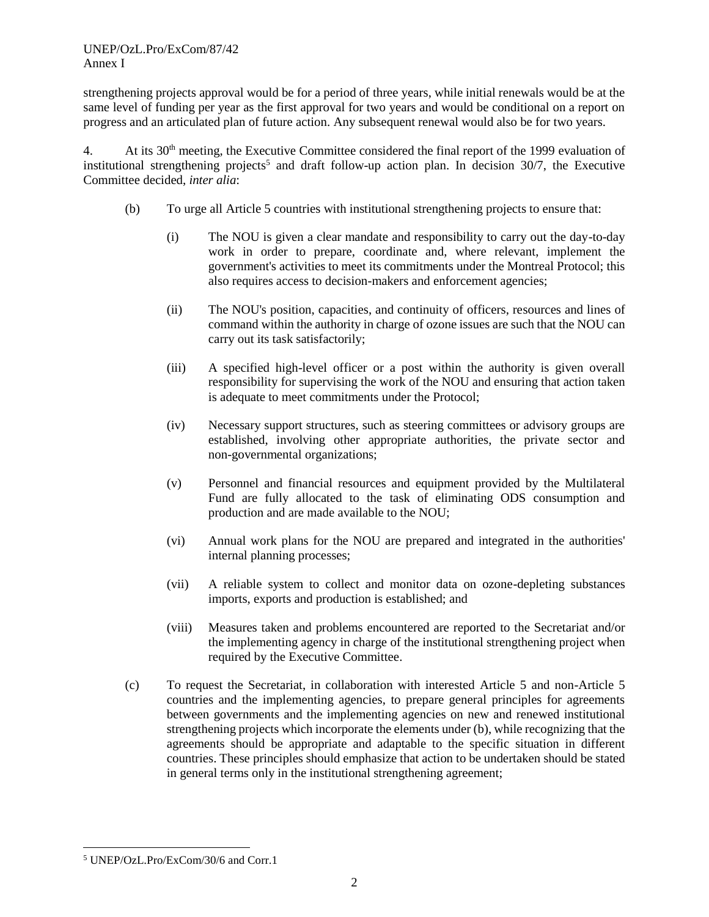strengthening projects approval would be for a period of three years, while initial renewals would be at the same level of funding per year as the first approval for two years and would be conditional on a report on progress and an articulated plan of future action. Any subsequent renewal would also be for two years.

4. At its 30th meeting, the Executive Committee considered the final report of the 1999 evaluation of institutional strengthening projects<sup>5</sup> and draft follow-up action plan. In decision  $30/7$ , the Executive Committee decided, *inter alia*:

- (b) To urge all Article 5 countries with institutional strengthening projects to ensure that:
	- (i) The NOU is given a clear mandate and responsibility to carry out the day-to-day work in order to prepare, coordinate and, where relevant, implement the government's activities to meet its commitments under the Montreal Protocol; this also requires access to decision-makers and enforcement agencies;
	- (ii) The NOU's position, capacities, and continuity of officers, resources and lines of command within the authority in charge of ozone issues are such that the NOU can carry out its task satisfactorily;
	- (iii) A specified high-level officer or a post within the authority is given overall responsibility for supervising the work of the NOU and ensuring that action taken is adequate to meet commitments under the Protocol;
	- (iv) Necessary support structures, such as steering committees or advisory groups are established, involving other appropriate authorities, the private sector and non-governmental organizations;
	- (v) Personnel and financial resources and equipment provided by the Multilateral Fund are fully allocated to the task of eliminating ODS consumption and production and are made available to the NOU;
	- (vi) Annual work plans for the NOU are prepared and integrated in the authorities' internal planning processes;
	- (vii) A reliable system to collect and monitor data on ozone-depleting substances imports, exports and production is established; and
	- (viii) Measures taken and problems encountered are reported to the Secretariat and/or the implementing agency in charge of the institutional strengthening project when required by the Executive Committee.
- (c) To request the Secretariat, in collaboration with interested Article 5 and non-Article 5 countries and the implementing agencies, to prepare general principles for agreements between governments and the implementing agencies on new and renewed institutional strengthening projects which incorporate the elements under (b), while recognizing that the agreements should be appropriate and adaptable to the specific situation in different countries. These principles should emphasize that action to be undertaken should be stated in general terms only in the institutional strengthening agreement;

<sup>5</sup> UNEP/OzL.Pro/ExCom/30/6 and Corr.1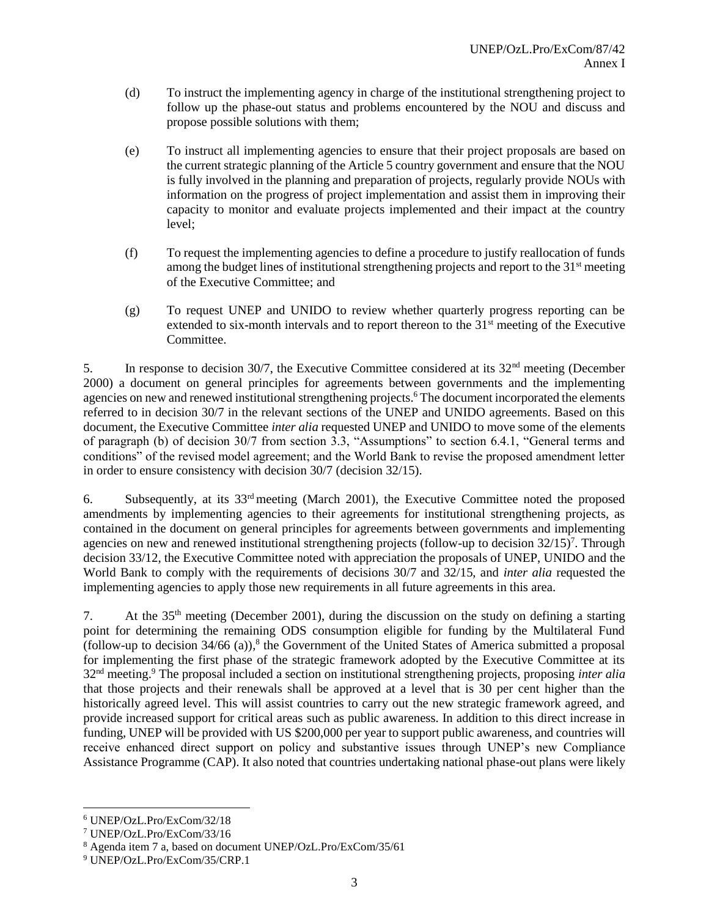- (d) To instruct the implementing agency in charge of the institutional strengthening project to follow up the phase-out status and problems encountered by the NOU and discuss and propose possible solutions with them;
- (e) To instruct all implementing agencies to ensure that their project proposals are based on the current strategic planning of the Article 5 country government and ensure that the NOU is fully involved in the planning and preparation of projects, regularly provide NOUs with information on the progress of project implementation and assist them in improving their capacity to monitor and evaluate projects implemented and their impact at the country level;
- (f) To request the implementing agencies to define a procedure to justify reallocation of funds among the budget lines of institutional strengthening projects and report to the 31st meeting of the Executive Committee; and
- (g) To request UNEP and UNIDO to review whether quarterly progress reporting can be extended to six-month intervals and to report thereon to the 31<sup>st</sup> meeting of the Executive Committee.

5. In response to decision 30/7, the Executive Committee considered at its  $32<sup>nd</sup>$  meeting (December 2000) a document on general principles for agreements between governments and the implementing agencies on new and renewed institutional strengthening projects. <sup>6</sup> The document incorporated the elements referred to in decision 30/7 in the relevant sections of the UNEP and UNIDO agreements. Based on this document, the Executive Committee *inter alia* requested UNEP and UNIDO to move some of the elements of paragraph (b) of decision 30/7 from section 3.3, "Assumptions" to section 6.4.1, "General terms and conditions" of the revised model agreement; and the World Bank to revise the proposed amendment letter in order to ensure consistency with decision 30/7 (decision 32/15).

6. Subsequently, at its 33rd meeting (March 2001), the Executive Committee noted the proposed amendments by implementing agencies to their agreements for institutional strengthening projects, as contained in the document on general principles for agreements between governments and implementing agencies on new and renewed institutional strengthening projects (follow-up to decision  $32/15$ )<sup>7</sup>. Through decision 33/12, the Executive Committee noted with appreciation the proposals of UNEP, UNIDO and the World Bank to comply with the requirements of decisions 30/7 and 32/15, and *inter alia* requested the implementing agencies to apply those new requirements in all future agreements in this area.

7. At the  $35<sup>th</sup>$  meeting (December 2001), during the discussion on the study on defining a starting point for determining the remaining ODS consumption eligible for funding by the Multilateral Fund (follow-up to decision 34/66 (a)), 8 the Government of the United States of America submitted a proposal for implementing the first phase of the strategic framework adopted by the Executive Committee at its 32nd meeting. <sup>9</sup> The proposal included a section on institutional strengthening projects, proposing *inter alia*  that those projects and their renewals shall be approved at a level that is 30 per cent higher than the historically agreed level. This will assist countries to carry out the new strategic framework agreed, and provide increased support for critical areas such as public awareness. In addition to this direct increase in funding, UNEP will be provided with US \$200,000 per year to support public awareness, and countries will receive enhanced direct support on policy and substantive issues through UNEP's new Compliance Assistance Programme (CAP). It also noted that countries undertaking national phase-out plans were likely

l <sup>6</sup> UNEP/OzL.Pro/ExCom/32/18

<sup>7</sup> UNEP/OzL.Pro/ExCom/33/16

<sup>8</sup> Agenda item 7 a, based on document UNEP/OzL.Pro/ExCom/35/61

<sup>9</sup> UNEP/OzL.Pro/ExCom/35/CRP.1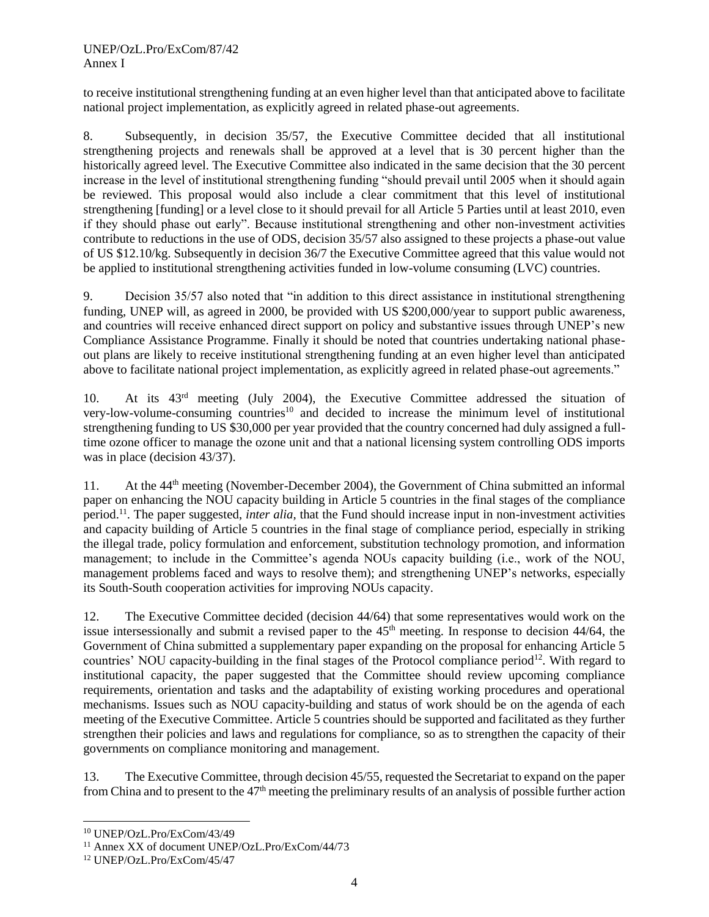#### UNEP/OzL.Pro/ExCom/87/42 Annex I

to receive institutional strengthening funding at an even higher level than that anticipated above to facilitate national project implementation, as explicitly agreed in related phase-out agreements.

8. Subsequently, in decision 35/57, the Executive Committee decided that all institutional strengthening projects and renewals shall be approved at a level that is 30 percent higher than the historically agreed level. The Executive Committee also indicated in the same decision that the 30 percent increase in the level of institutional strengthening funding "should prevail until 2005 when it should again be reviewed. This proposal would also include a clear commitment that this level of institutional strengthening [funding] or a level close to it should prevail for all Article 5 Parties until at least 2010, even if they should phase out early". Because institutional strengthening and other non-investment activities contribute to reductions in the use of ODS, decision 35/57 also assigned to these projects a phase-out value of US \$12.10/kg. Subsequently in decision 36/7 the Executive Committee agreed that this value would not be applied to institutional strengthening activities funded in low-volume consuming (LVC) countries.

9. Decision 35/57 also noted that "in addition to this direct assistance in institutional strengthening funding, UNEP will, as agreed in 2000, be provided with US \$200,000/year to support public awareness, and countries will receive enhanced direct support on policy and substantive issues through UNEP's new Compliance Assistance Programme. Finally it should be noted that countries undertaking national phaseout plans are likely to receive institutional strengthening funding at an even higher level than anticipated above to facilitate national project implementation, as explicitly agreed in related phase-out agreements."

10. At its 43rd meeting (July 2004), the Executive Committee addressed the situation of very-low-volume-consuming countries<sup>10</sup> and decided to increase the minimum level of institutional strengthening funding to US \$30,000 per year provided that the country concerned had duly assigned a fulltime ozone officer to manage the ozone unit and that a national licensing system controlling ODS imports was in place (decision 43/37).

11. At the 44th meeting (November-December 2004), the Government of China submitted an informal paper on enhancing the NOU capacity building in Article 5 countries in the final stages of the compliance period. <sup>11</sup>. The paper suggested, *inter alia,* that the Fund should increase input in non-investment activities and capacity building of Article 5 countries in the final stage of compliance period, especially in striking the illegal trade, policy formulation and enforcement, substitution technology promotion, and information management; to include in the Committee's agenda NOUs capacity building (i.e., work of the NOU, management problems faced and ways to resolve them); and strengthening UNEP's networks, especially its South-South cooperation activities for improving NOUs capacity.

12. The Executive Committee decided (decision 44/64) that some representatives would work on the issue intersessionally and submit a revised paper to the  $45<sup>th</sup>$  meeting. In response to decision  $44/64$ , the Government of China submitted a supplementary paper expanding on the proposal for enhancing Article 5 countries' NOU capacity-building in the final stages of the Protocol compliance period<sup>12</sup>. With regard to institutional capacity, the paper suggested that the Committee should review upcoming compliance requirements, orientation and tasks and the adaptability of existing working procedures and operational mechanisms. Issues such as NOU capacity-building and status of work should be on the agenda of each meeting of the Executive Committee. Article 5 countries should be supported and facilitated as they further strengthen their policies and laws and regulations for compliance, so as to strengthen the capacity of their governments on compliance monitoring and management.

13. The Executive Committee, through decision 45/55, requested the Secretariat to expand on the paper from China and to present to the 47th meeting the preliminary results of an analysis of possible further action

<sup>10</sup> UNEP/OzL.Pro/ExCom/43/49

<sup>11</sup> Annex XX of document UNEP/OzL.Pro/ExCom/44/73

<sup>12</sup> UNEP/OzL.Pro/ExCom/45/47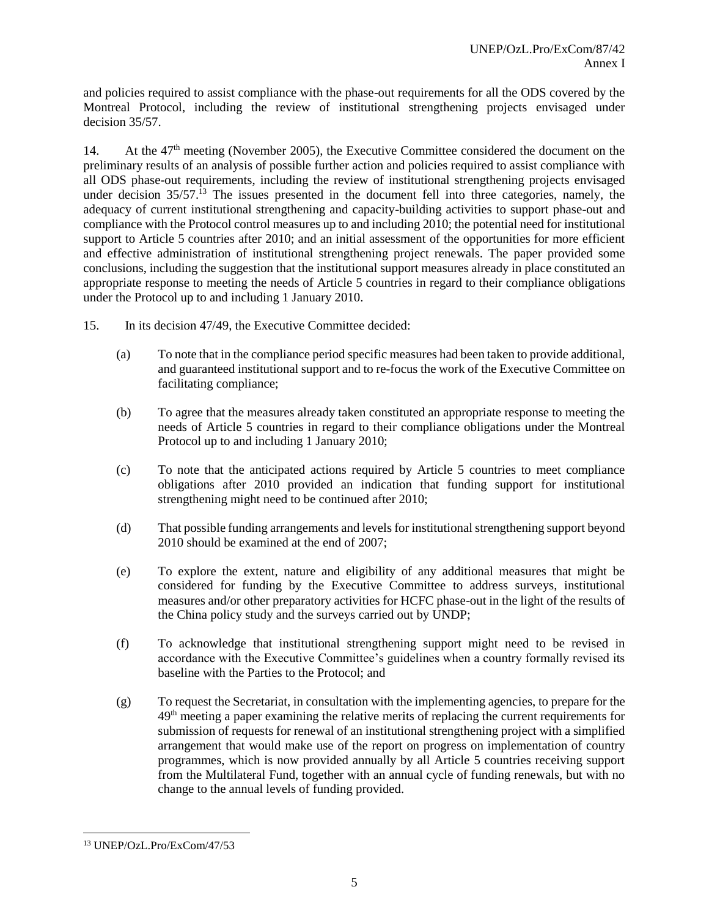and policies required to assist compliance with the phase-out requirements for all the ODS covered by the Montreal Protocol, including the review of institutional strengthening projects envisaged under decision 35/57.

14. At the  $47<sup>th</sup>$  meeting (November 2005), the Executive Committee considered the document on the preliminary results of an analysis of possible further action and policies required to assist compliance with all ODS phase-out requirements, including the review of institutional strengthening projects envisaged under decision 35/57.<sup>13</sup> The issues presented in the document fell into three categories, namely, the adequacy of current institutional strengthening and capacity-building activities to support phase-out and compliance with the Protocol control measures up to and including 2010; the potential need for institutional support to Article 5 countries after 2010; and an initial assessment of the opportunities for more efficient and effective administration of institutional strengthening project renewals. The paper provided some conclusions, including the suggestion that the institutional support measures already in place constituted an appropriate response to meeting the needs of Article 5 countries in regard to their compliance obligations under the Protocol up to and including 1 January 2010.

- 15. In its decision 47/49, the Executive Committee decided:
	- (a) To note that in the compliance period specific measures had been taken to provide additional, and guaranteed institutional support and to re-focus the work of the Executive Committee on facilitating compliance;
	- (b) To agree that the measures already taken constituted an appropriate response to meeting the needs of Article 5 countries in regard to their compliance obligations under the Montreal Protocol up to and including 1 January 2010;
	- (c) To note that the anticipated actions required by Article 5 countries to meet compliance obligations after 2010 provided an indication that funding support for institutional strengthening might need to be continued after 2010;
	- (d) That possible funding arrangements and levels for institutional strengthening support beyond 2010 should be examined at the end of 2007;
	- (e) To explore the extent, nature and eligibility of any additional measures that might be considered for funding by the Executive Committee to address surveys, institutional measures and/or other preparatory activities for HCFC phase-out in the light of the results of the China policy study and the surveys carried out by UNDP;
	- (f) To acknowledge that institutional strengthening support might need to be revised in accordance with the Executive Committee's guidelines when a country formally revised its baseline with the Parties to the Protocol; and
	- (g) To request the Secretariat, in consultation with the implementing agencies, to prepare for the  $49<sup>th</sup>$  meeting a paper examining the relative merits of replacing the current requirements for submission of requests for renewal of an institutional strengthening project with a simplified arrangement that would make use of the report on progress on implementation of country programmes, which is now provided annually by all Article 5 countries receiving support from the Multilateral Fund, together with an annual cycle of funding renewals, but with no change to the annual levels of funding provided.

<sup>13</sup> UNEP/OzL.Pro/ExCom/47/53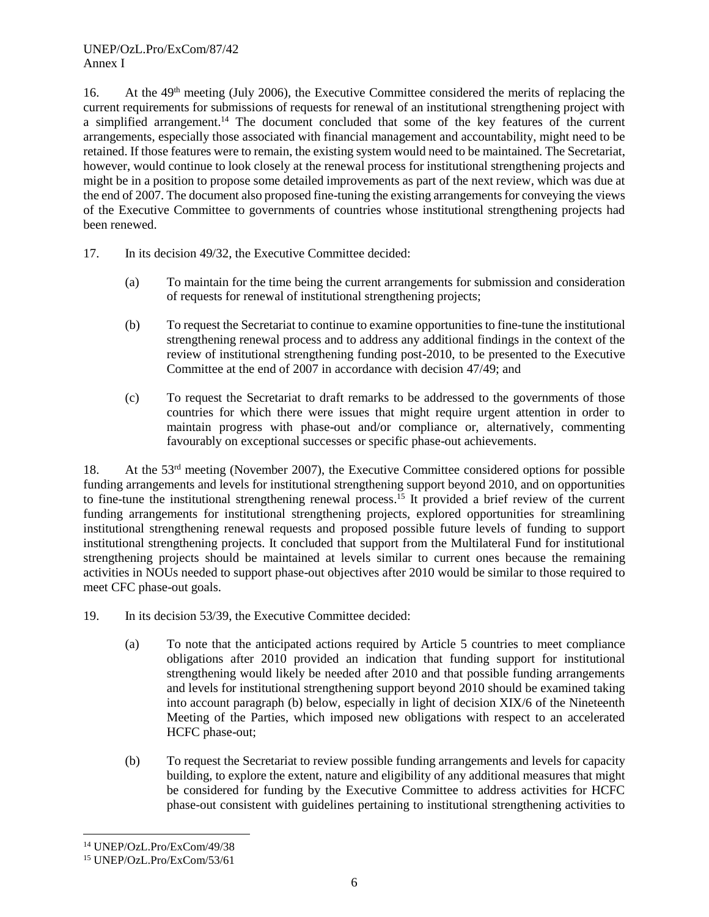16. At the 49th meeting (July 2006), the Executive Committee considered the merits of replacing the current requirements for submissions of requests for renewal of an institutional strengthening project with a simplified arrangement.<sup>14</sup> The document concluded that some of the key features of the current arrangements, especially those associated with financial management and accountability, might need to be retained. If those features were to remain, the existing system would need to be maintained. The Secretariat, however, would continue to look closely at the renewal process for institutional strengthening projects and might be in a position to propose some detailed improvements as part of the next review, which was due at the end of 2007. The document also proposed fine-tuning the existing arrangements for conveying the views of the Executive Committee to governments of countries whose institutional strengthening projects had been renewed.

- 17. In its decision 49/32, the Executive Committee decided:
	- (a) To maintain for the time being the current arrangements for submission and consideration of requests for renewal of institutional strengthening projects;
	- (b) To request the Secretariat to continue to examine opportunities to fine-tune the institutional strengthening renewal process and to address any additional findings in the context of the review of institutional strengthening funding post-2010, to be presented to the Executive Committee at the end of 2007 in accordance with decision 47/49; and
	- (c) To request the Secretariat to draft remarks to be addressed to the governments of those countries for which there were issues that might require urgent attention in order to maintain progress with phase-out and/or compliance or, alternatively, commenting favourably on exceptional successes or specific phase-out achievements.

18. At the  $53<sup>rd</sup>$  meeting (November 2007), the Executive Committee considered options for possible funding arrangements and levels for institutional strengthening support beyond 2010, and on opportunities to fine-tune the institutional strengthening renewal process. <sup>15</sup> It provided a brief review of the current funding arrangements for institutional strengthening projects, explored opportunities for streamlining institutional strengthening renewal requests and proposed possible future levels of funding to support institutional strengthening projects. It concluded that support from the Multilateral Fund for institutional strengthening projects should be maintained at levels similar to current ones because the remaining activities in NOUs needed to support phase-out objectives after 2010 would be similar to those required to meet CFC phase-out goals.

- 19. In its decision 53/39, the Executive Committee decided:
	- (a) To note that the anticipated actions required by Article 5 countries to meet compliance obligations after 2010 provided an indication that funding support for institutional strengthening would likely be needed after 2010 and that possible funding arrangements and levels for institutional strengthening support beyond 2010 should be examined taking into account paragraph (b) below, especially in light of decision XIX/6 of the Nineteenth Meeting of the Parties, which imposed new obligations with respect to an accelerated HCFC phase-out;
	- (b) To request the Secretariat to review possible funding arrangements and levels for capacity building, to explore the extent, nature and eligibility of any additional measures that might be considered for funding by the Executive Committee to address activities for HCFC phase-out consistent with guidelines pertaining to institutional strengthening activities to

<sup>14</sup> UNEP/OzL.Pro/ExCom/49/38

<sup>15</sup> UNEP/OzL.Pro/ExCom/53/61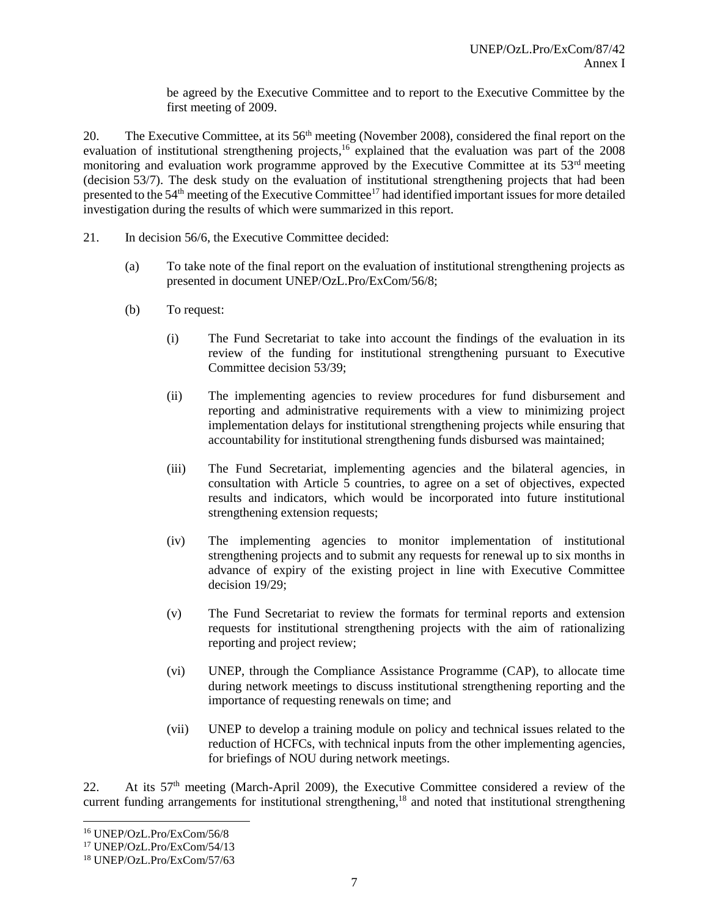be agreed by the Executive Committee and to report to the Executive Committee by the first meeting of 2009.

20. The Executive Committee, at its 56<sup>th</sup> meeting (November 2008), considered the final report on the evaluation of institutional strengthening projects,<sup>16</sup> explained that the evaluation was part of the 2008 monitoring and evaluation work programme approved by the Executive Committee at its 53<sup>rd</sup> meeting (decision 53/7). The desk study on the evaluation of institutional strengthening projects that had been presented to the 54<sup>th</sup> meeting of the Executive Committee<sup>17</sup> had identified important issues for more detailed investigation during the results of which were summarized in this report.

- 21. In decision 56/6, the Executive Committee decided:
	- (a) To take note of the final report on the evaluation of institutional strengthening projects as presented in document UNEP/OzL.Pro/ExCom/56/8;
	- (b) To request:
		- (i) The Fund Secretariat to take into account the findings of the evaluation in its review of the funding for institutional strengthening pursuant to Executive Committee decision 53/39;
		- (ii) The implementing agencies to review procedures for fund disbursement and reporting and administrative requirements with a view to minimizing project implementation delays for institutional strengthening projects while ensuring that accountability for institutional strengthening funds disbursed was maintained;
		- (iii) The Fund Secretariat, implementing agencies and the bilateral agencies, in consultation with Article 5 countries, to agree on a set of objectives, expected results and indicators, which would be incorporated into future institutional strengthening extension requests;
		- (iv) The implementing agencies to monitor implementation of institutional strengthening projects and to submit any requests for renewal up to six months in advance of expiry of the existing project in line with Executive Committee decision 19/29;
		- (v) The Fund Secretariat to review the formats for terminal reports and extension requests for institutional strengthening projects with the aim of rationalizing reporting and project review;
		- (vi) UNEP, through the Compliance Assistance Programme (CAP), to allocate time during network meetings to discuss institutional strengthening reporting and the importance of requesting renewals on time; and
		- (vii) UNEP to develop a training module on policy and technical issues related to the reduction of HCFCs, with technical inputs from the other implementing agencies, for briefings of NOU during network meetings.

22. At its 57th meeting (March-April 2009), the Executive Committee considered a review of the current funding arrangements for institutional strengthening,<sup>18</sup> and noted that institutional strengthening

<sup>16</sup> UNEP/OzL.Pro/ExCom/56/8

<sup>17</sup> UNEP/OzL.Pro/ExCom/54/13

<sup>18</sup> UNEP/OzL.Pro/ExCom/57/63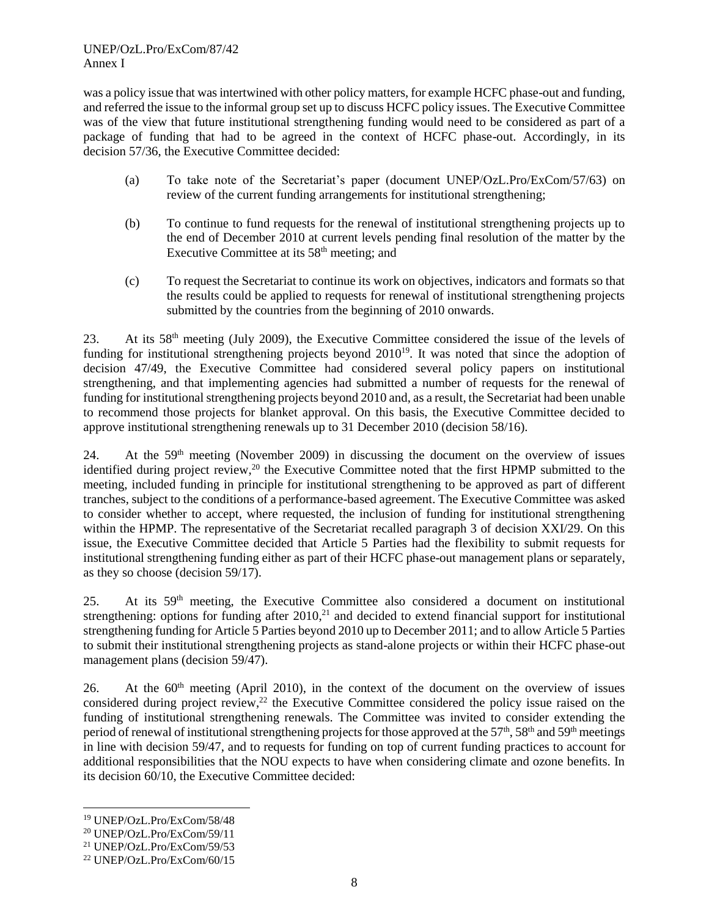UNEP/OzL.Pro/ExCom/87/42 Annex I

was a policy issue that was intertwined with other policy matters, for example HCFC phase-out and funding, and referred the issue to the informal group set up to discuss HCFC policy issues. The Executive Committee was of the view that future institutional strengthening funding would need to be considered as part of a package of funding that had to be agreed in the context of HCFC phase-out. Accordingly, in its decision 57/36, the Executive Committee decided:

- (a) To take note of the Secretariat's paper (document UNEP/OzL.Pro/ExCom/57/63) on review of the current funding arrangements for institutional strengthening;
- (b) To continue to fund requests for the renewal of institutional strengthening projects up to the end of December 2010 at current levels pending final resolution of the matter by the Executive Committee at its 58<sup>th</sup> meeting; and
- (c) To request the Secretariat to continue its work on objectives, indicators and formats so that the results could be applied to requests for renewal of institutional strengthening projects submitted by the countries from the beginning of 2010 onwards.

23. At its 58th meeting (July 2009), the Executive Committee considered the issue of the levels of funding for institutional strengthening projects beyond 2010<sup>19</sup>. It was noted that since the adoption of decision 47/49, the Executive Committee had considered several policy papers on institutional strengthening, and that implementing agencies had submitted a number of requests for the renewal of funding for institutional strengthening projects beyond 2010 and, as a result, the Secretariat had been unable to recommend those projects for blanket approval. On this basis, the Executive Committee decided to approve institutional strengthening renewals up to 31 December 2010 (decision 58/16).

24. At the 59th meeting (November 2009) in discussing the document on the overview of issues identified during project review,<sup>20</sup> the Executive Committee noted that the first HPMP submitted to the meeting, included funding in principle for institutional strengthening to be approved as part of different tranches, subject to the conditions of a performance-based agreement. The Executive Committee was asked to consider whether to accept, where requested, the inclusion of funding for institutional strengthening within the HPMP. The representative of the Secretariat recalled paragraph 3 of decision XXI/29. On this issue, the Executive Committee decided that Article 5 Parties had the flexibility to submit requests for institutional strengthening funding either as part of their HCFC phase-out management plans or separately, as they so choose (decision 59/17).

25. At its 59th meeting, the Executive Committee also considered a document on institutional strengthening: options for funding after  $2010<sup>21</sup>$  and decided to extend financial support for institutional strengthening funding for Article 5 Parties beyond 2010 up to December 2011; and to allow Article 5 Parties to submit their institutional strengthening projects as stand-alone projects or within their HCFC phase-out management plans (decision 59/47).

26. At the  $60<sup>th</sup>$  meeting (April 2010), in the context of the document on the overview of issues considered during project review,<sup>22</sup> the Executive Committee considered the policy issue raised on the funding of institutional strengthening renewals. The Committee was invited to consider extending the period of renewal of institutional strengthening projects for those approved at the  $57<sup>th</sup>$ ,  $58<sup>th</sup>$  and  $59<sup>th</sup>$  meetings in line with decision 59/47, and to requests for funding on top of current funding practices to account for additional responsibilities that the NOU expects to have when considering climate and ozone benefits. In its decision 60/10, the Executive Committee decided:

<sup>19</sup> UNEP/OzL.Pro/ExCom/58/48

<sup>20</sup> UNEP/OzL.Pro/ExCom/59/11

<sup>21</sup> UNEP/OzL.Pro/ExCom/59/53

<sup>22</sup> UNEP/OzL.Pro/ExCom/60/15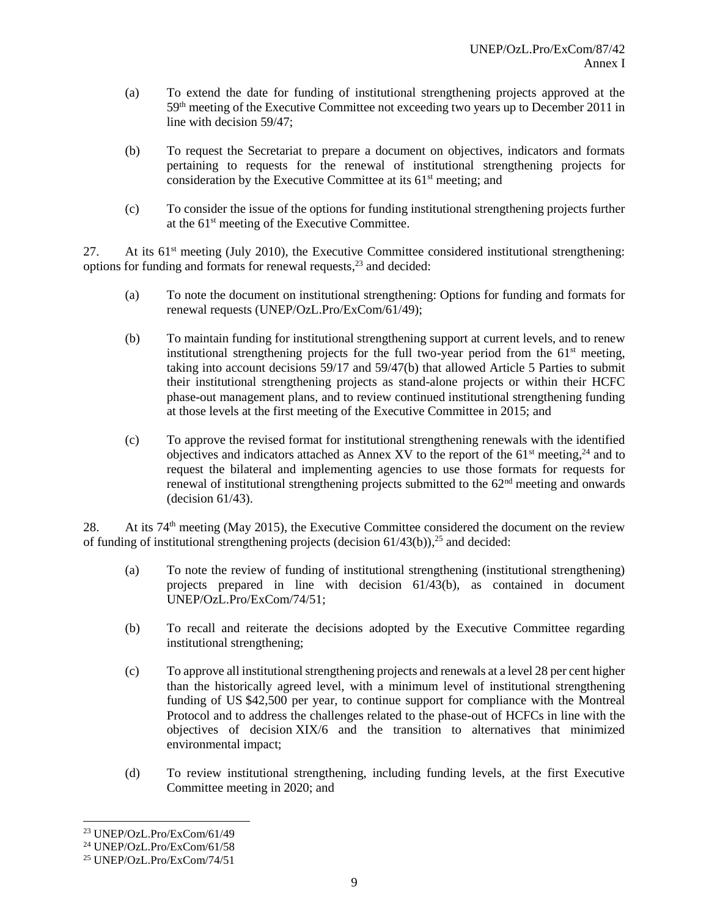- (a) To extend the date for funding of institutional strengthening projects approved at the 59th meeting of the Executive Committee not exceeding two years up to December 2011 in line with decision 59/47;
- (b) To request the Secretariat to prepare a document on objectives, indicators and formats pertaining to requests for the renewal of institutional strengthening projects for consideration by the Executive Committee at its 61<sup>st</sup> meeting; and
- (c) To consider the issue of the options for funding institutional strengthening projects further at the 61st meeting of the Executive Committee.

27. At its 61<sup>st</sup> meeting (July 2010), the Executive Committee considered institutional strengthening: options for funding and formats for renewal requests, <sup>23</sup> and decided:

- (a) To note the document on institutional strengthening: Options for funding and formats for renewal requests (UNEP/OzL.Pro/ExCom/61/49);
- (b) To maintain funding for institutional strengthening support at current levels, and to renew institutional strengthening projects for the full two-year period from the  $61<sup>st</sup>$  meeting, taking into account decisions 59/17 and 59/47(b) that allowed Article 5 Parties to submit their institutional strengthening projects as stand-alone projects or within their HCFC phase-out management plans, and to review continued institutional strengthening funding at those levels at the first meeting of the Executive Committee in 2015; and
- (c) To approve the revised format for institutional strengthening renewals with the identified objectives and indicators attached as Annex XV to the report of the  $61<sup>st</sup>$  meeting,<sup>24</sup> and to request the bilateral and implementing agencies to use those formats for requests for renewal of institutional strengthening projects submitted to the  $62<sup>nd</sup>$  meeting and onwards (decision 61/43).

28. At its 74<sup>th</sup> meeting (May 2015), the Executive Committee considered the document on the review of funding of institutional strengthening projects (decision 61/43(b)), <sup>25</sup> and decided:

- (a) To note the review of funding of institutional strengthening (institutional strengthening) projects prepared in line with decision 61/43(b), as contained in document UNEP/OzL.Pro/ExCom/74/51;
- (b) To recall and reiterate the decisions adopted by the Executive Committee regarding institutional strengthening;
- (c) To approve all institutional strengthening projects and renewals at a level 28 per cent higher than the historically agreed level, with a minimum level of institutional strengthening funding of US \$42,500 per year, to continue support for compliance with the Montreal Protocol and to address the challenges related to the phase-out of HCFCs in line with the objectives of decision XIX/6 and the transition to alternatives that minimized environmental impact;
- (d) To review institutional strengthening, including funding levels, at the first Executive Committee meeting in 2020; and

<sup>23</sup> UNEP/OzL.Pro/ExCom/61/49

<sup>24</sup> UNEP/OzL.Pro/ExCom/61/58

<sup>25</sup> UNEP/OzL.Pro/ExCom/74/51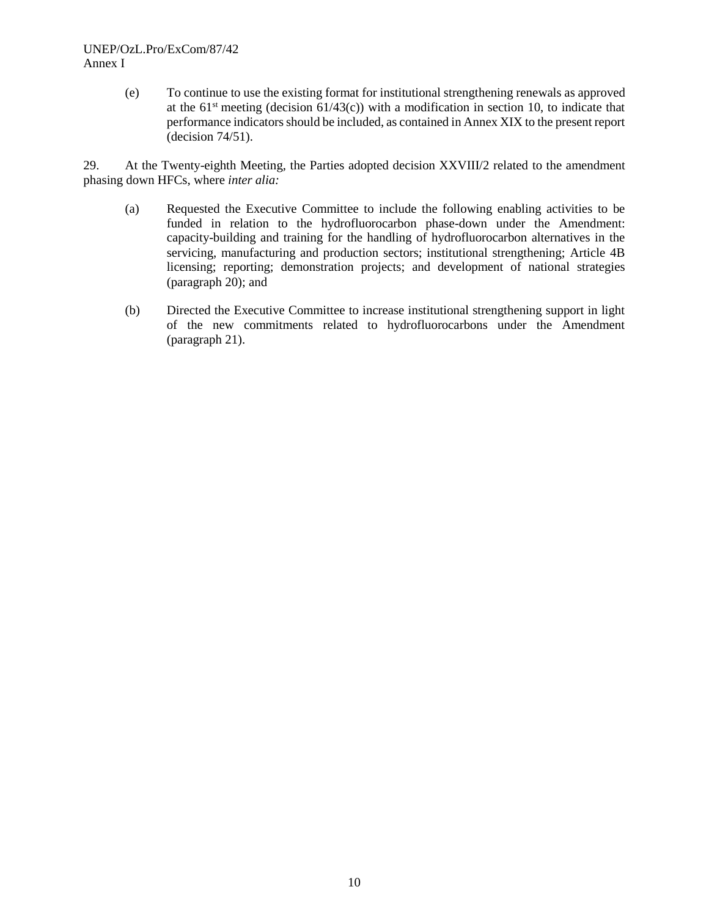## UNEP/OzL.Pro/ExCom/87/42 Annex I

(e) To continue to use the existing format for institutional strengthening renewals as approved at the  $61<sup>st</sup>$  meeting (decision  $61/43(c)$ ) with a modification in section 10, to indicate that performance indicators should be included, as contained in Annex XIX to the present report (decision 74/51).

29. At the Twenty-eighth Meeting, the Parties adopted decision XXVIII/2 related to the amendment phasing down HFCs, where *inter alia:*

- (a) Requested the Executive Committee to include the following enabling activities to be funded in relation to the hydrofluorocarbon phase-down under the Amendment: capacity-building and training for the handling of hydrofluorocarbon alternatives in the servicing, manufacturing and production sectors; institutional strengthening; Article 4B licensing; reporting; demonstration projects; and development of national strategies (paragraph 20); and
- (b) Directed the Executive Committee to increase institutional strengthening support in light of the new commitments related to hydrofluorocarbons under the Amendment (paragraph 21).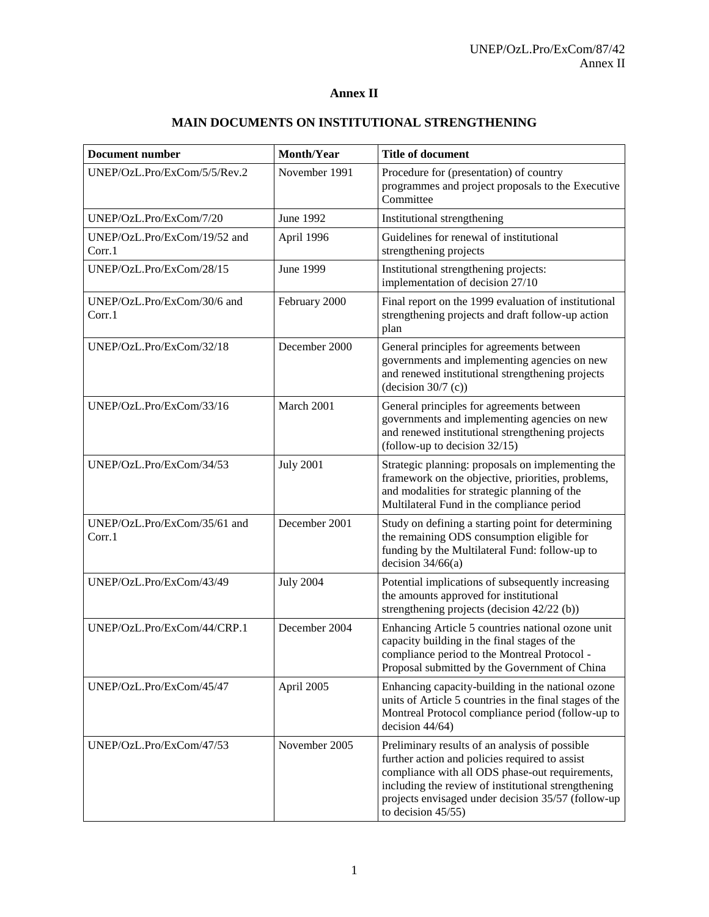## **Annex II**

| <b>Document number</b>                 | Month/Year       | <b>Title of document</b>                                                                                                                                                                                                                                                                  |  |
|----------------------------------------|------------------|-------------------------------------------------------------------------------------------------------------------------------------------------------------------------------------------------------------------------------------------------------------------------------------------|--|
| UNEP/OzL.Pro/ExCom/5/5/Rev.2           | November 1991    | Procedure for (presentation) of country<br>programmes and project proposals to the Executive<br>Committee                                                                                                                                                                                 |  |
| UNEP/OzL.Pro/ExCom/7/20                | <b>June 1992</b> | Institutional strengthening                                                                                                                                                                                                                                                               |  |
| UNEP/OzL.Pro/ExCom/19/52 and<br>Corr.1 | April 1996       | Guidelines for renewal of institutional<br>strengthening projects                                                                                                                                                                                                                         |  |
| UNEP/OzL.Pro/ExCom/28/15               | <b>June 1999</b> | Institutional strengthening projects:<br>implementation of decision 27/10                                                                                                                                                                                                                 |  |
| UNEP/OzL.Pro/ExCom/30/6 and<br>Corr.1  | February 2000    | Final report on the 1999 evaluation of institutional<br>strengthening projects and draft follow-up action<br>plan                                                                                                                                                                         |  |
| UNEP/OzL.Pro/ExCom/32/18               | December 2000    | General principles for agreements between<br>governments and implementing agencies on new<br>and renewed institutional strengthening projects<br>(decision $30/7$ (c))                                                                                                                    |  |
| UNEP/OzL.Pro/ExCom/33/16               | March 2001       | General principles for agreements between<br>governments and implementing agencies on new<br>and renewed institutional strengthening projects<br>(follow-up to decision $32/15$ )                                                                                                         |  |
| UNEP/OzL.Pro/ExCom/34/53               | <b>July 2001</b> | Strategic planning: proposals on implementing the<br>framework on the objective, priorities, problems,<br>and modalities for strategic planning of the<br>Multilateral Fund in the compliance period                                                                                      |  |
| UNEP/OzL.Pro/ExCom/35/61 and<br>Corr.1 | December 2001    | Study on defining a starting point for determining<br>the remaining ODS consumption eligible for<br>funding by the Multilateral Fund: follow-up to<br>decision $34/66(a)$                                                                                                                 |  |
| UNEP/OzL.Pro/ExCom/43/49               | <b>July 2004</b> | Potential implications of subsequently increasing<br>the amounts approved for institutional<br>strengthening projects (decision 42/22 (b))                                                                                                                                                |  |
| UNEP/OzL.Pro/ExCom/44/CRP.1            | December 2004    | Enhancing Article 5 countries national ozone unit<br>capacity building in the final stages of the<br>compliance period to the Montreal Protocol -<br>Proposal submitted by the Government of China                                                                                        |  |
| UNEP/OzL.Pro/ExCom/45/47               | April 2005       | Enhancing capacity-building in the national ozone<br>units of Article 5 countries in the final stages of the<br>Montreal Protocol compliance period (follow-up to<br>decision 44/64)                                                                                                      |  |
| UNEP/OzL.Pro/ExCom/47/53               | November 2005    | Preliminary results of an analysis of possible<br>further action and policies required to assist<br>compliance with all ODS phase-out requirements,<br>including the review of institutional strengthening<br>projects envisaged under decision 35/57 (follow-up<br>to decision $45/55$ ) |  |

## **MAIN DOCUMENTS ON INSTITUTIONAL STRENGTHENING**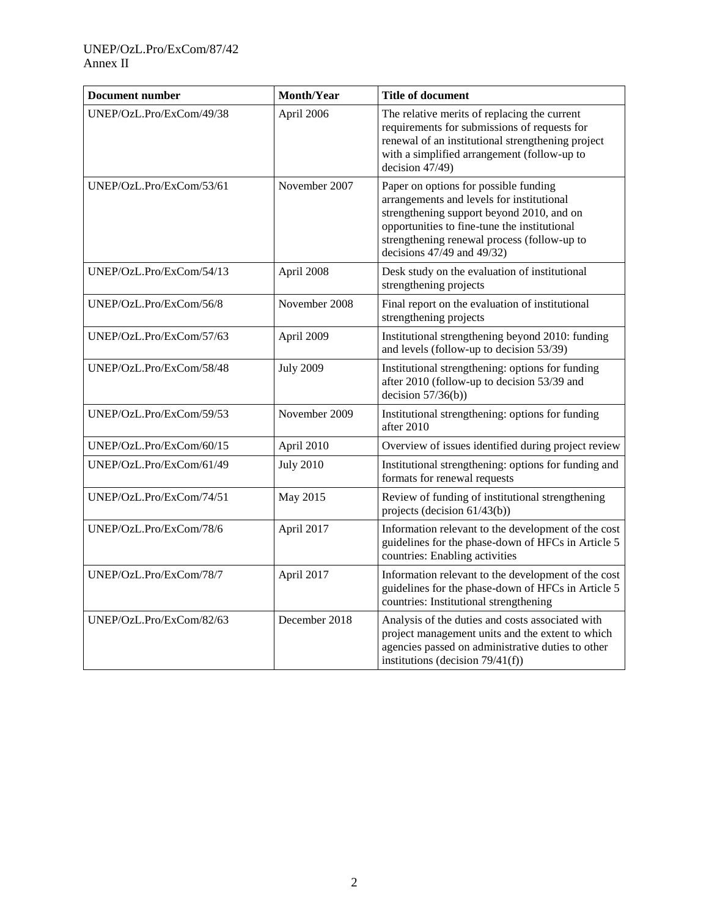## UNEP/OzL.Pro/ExCom/87/42 Annex II

| <b>Document number</b>   | <b>Month/Year</b> | <b>Title of document</b>                                                                                                                                                                                                                                          |  |  |
|--------------------------|-------------------|-------------------------------------------------------------------------------------------------------------------------------------------------------------------------------------------------------------------------------------------------------------------|--|--|
| UNEP/OzL.Pro/ExCom/49/38 | April 2006        | The relative merits of replacing the current<br>requirements for submissions of requests for<br>renewal of an institutional strengthening project<br>with a simplified arrangement (follow-up to<br>decision 47/49)                                               |  |  |
| UNEP/OzL.Pro/ExCom/53/61 | November 2007     | Paper on options for possible funding<br>arrangements and levels for institutional<br>strengthening support beyond 2010, and on<br>opportunities to fine-tune the institutional<br>strengthening renewal process (follow-up to<br>decisions $47/49$ and $49/32$ ) |  |  |
| UNEP/OzL.Pro/ExCom/54/13 | April 2008        | Desk study on the evaluation of institutional<br>strengthening projects                                                                                                                                                                                           |  |  |
| UNEP/OzL.Pro/ExCom/56/8  | November 2008     | Final report on the evaluation of institutional<br>strengthening projects                                                                                                                                                                                         |  |  |
| UNEP/OzL.Pro/ExCom/57/63 | April 2009        | Institutional strengthening beyond 2010: funding<br>and levels (follow-up to decision 53/39)                                                                                                                                                                      |  |  |
| UNEP/OzL.Pro/ExCom/58/48 | <b>July 2009</b>  | Institutional strengthening: options for funding<br>after 2010 (follow-up to decision 53/39 and<br>decision $57/36(b)$ )                                                                                                                                          |  |  |
| UNEP/OzL.Pro/ExCom/59/53 | November 2009     | Institutional strengthening: options for funding<br>after 2010                                                                                                                                                                                                    |  |  |
| UNEP/OzL.Pro/ExCom/60/15 | April 2010        | Overview of issues identified during project review                                                                                                                                                                                                               |  |  |
| UNEP/OzL.Pro/ExCom/61/49 | <b>July 2010</b>  | Institutional strengthening: options for funding and<br>formats for renewal requests                                                                                                                                                                              |  |  |
| UNEP/OzL.Pro/ExCom/74/51 | May 2015          | Review of funding of institutional strengthening<br>projects (decision 61/43(b))                                                                                                                                                                                  |  |  |
| UNEP/OzL.Pro/ExCom/78/6  | April 2017        | Information relevant to the development of the cost<br>guidelines for the phase-down of HFCs in Article 5<br>countries: Enabling activities                                                                                                                       |  |  |
| UNEP/OzL.Pro/ExCom/78/7  | April 2017        | Information relevant to the development of the cost<br>guidelines for the phase-down of HFCs in Article 5<br>countries: Institutional strengthening                                                                                                               |  |  |
| UNEP/OzL.Pro/ExCom/82/63 | December 2018     | Analysis of the duties and costs associated with<br>project management units and the extent to which<br>agencies passed on administrative duties to other<br>institutions (decision $79/41(f)$ )                                                                  |  |  |